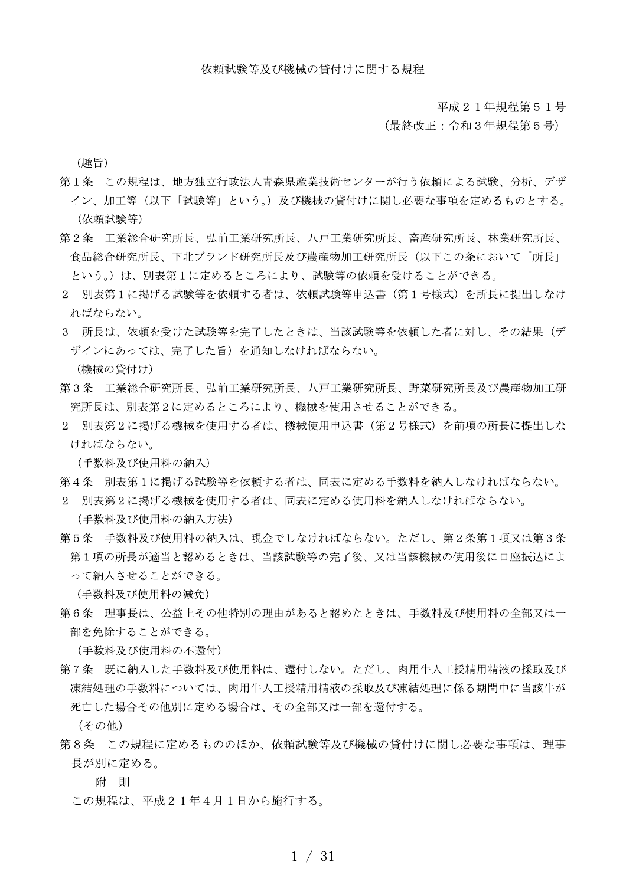平成21年規程第51号

(最終改正:令和3年規程第5号)

(趣旨)

- 第1条 この規程は、地方独立行政法人青森県産業技術センターが行う依頼による試験、分析、デザ イン、加工等(以下「試験等」という。)及び機械の貸付けに関し必要な事項を定めるものとする。 (依頼試験等)
- 第2条 工業総合研究所長、弘前工業研究所長、八戸工業研究所長、畜産研究所長、林業研究所長、 食品総合研究所長、下北ブランド研究所長及び農産物加工研究所長(以下この条において「所長」 という。)は、別表第1に定めるところにより、試験等の依頼を受けることができる。
- 2 別表第1に掲げる試験等を依頼する者は、依頼試験等申込書(第1号様式)を所長に提出しなけ ればならない。
- 3 所長は、依頼を受けた試験等を完了したときは、当該試験等を依頼した者に対し、その結果(デ ザインにあっては、完了した旨)を通知しなければならない。

(機械の貸付け)

- 第3条 工業総合研究所長、弘前工業研究所長、八戸工業研究所長、野菜研究所長及び農産物加工研 究所長は、別表第2に定めるところにより、機械を使用させることができる。
- 2 別表第2に掲げる機械を使用する者は、機械使用申込書(第2号様式)を前項の所長に提出しな ければならない。

(手数料及び使用料の納入)

- 第4条 別表第1に掲げる試験等を依頼する者は、同表に定める手数料を納入しなければならない。
- 2 別表第2に掲げる機械を使用する者は、同表に定める使用料を納入しなければならない。

(手数料及び使用料の納入方法)

第5条 手数料及び使用料の納入は、現金でしなければならない。ただし、第2条第1項又は第3条 第1項の所長が適当と認めるときは、当該試験等の完了後、又は当該機械の使用後に口座振込によ って納入させることができる。

(手数料及び使用料の減免)

第6条 理事長は、公益上その他特別の理由があると認めたときは、手数料及び使用料の全部又は一 部を免除することができる。

(手数料及び使用料の不還付)

第7条 既に納入した手数料及び使用料は、還付しない。ただし、肉用牛人工授精用精液の採取及び 凍結処理の手数料については、肉用牛人工授精用精液の採取及び凍結処理に係る期間中に当該牛が 死亡した場合その他別に定める場合は、その全部又は一部を還付する。

(その他)

第8条 この規程に定めるもののほか、依頼試験等及び機械の貸付けに関し必要な事項は、理事 長が別に定める。

附 則

この規程は、平成21年4月1日から施行する。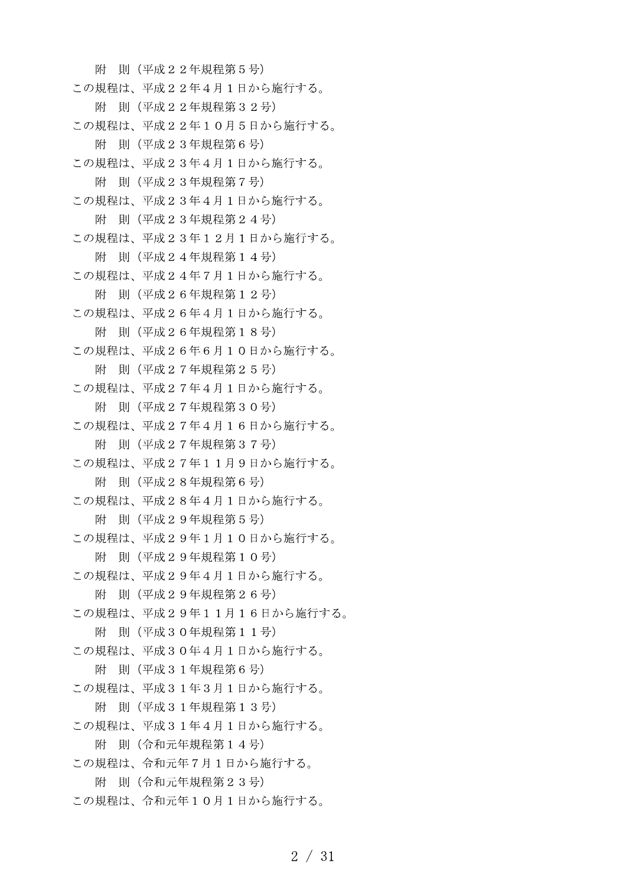附 則 (平成22年規程第5号) この規程は、平成22年4月1日から施行する。 附 則 (平成22年規程第32号) この規程は、平成22年10月5日から施行する。 附 則 (平成23年規程第6号) この規程は、平成23年4月1日から施行する。 附 則 (平成23年規程第7号) この規程は、平成23年4月1日から施行する。 附 則 (平成23年規程第24号) この規程は、平成23年12月1日から施行する。 附 則 (平成24年規程第14号) この規程は、平成24年7月1日から施行する。 附 則 (平成26年規程第12号) この規程は、平成26年4月1日から施行する。 附 則 (平成26年規程第18号) この規程は、平成26年6月10日から施行する。 附 則 (平成27年規程第25号) この規程は、平成27年4月1日から施行する。 附 則 (平成27年規程第30号) この規程は、平成27年4月16日から施行する。 附 則 (平成27年規程第37号) この規程は、平成27年11月9日から施行する。 附 則 (平成28年規程第6号) この規程は、平成28年4月1日から施行する。 附 則 (平成29年規程第5号) この規程は、平成29年1月10日から施行する。 附 則 (平成29年規程第10号) この規程は、平成29年4月1日から施行する。 附 則 (平成29年規程第26号) この規程は、平成29年11月16日から施行する。 附 則 (平成30年規程第11号) この規程は、平成30年4月1日から施行する。 附 則 (平成31年規程第6号) この規程は、平成31年3月1日から施行する。 附 則 (平成31年規程第13号) この規程は、平成31年4月1日から施行する。 附 則 (令和元年規程第14号) この規程は、令和元年7月1日から施行する。 附 則 (令和元年規程第23号) この規程は、令和元年10月1日から施行する。

 $2 / 31$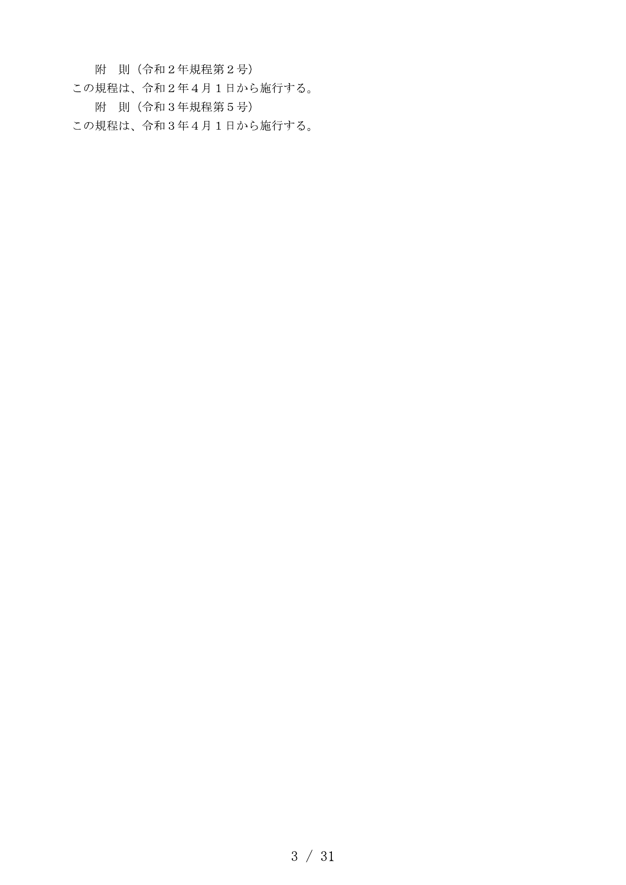附 則 (令和2年規程第2号)

- この規程は、令和2年4月1日から施行する。
	- 附 則 (令和3年規程第5号)

この規程は、令和3年4月1日から施行する。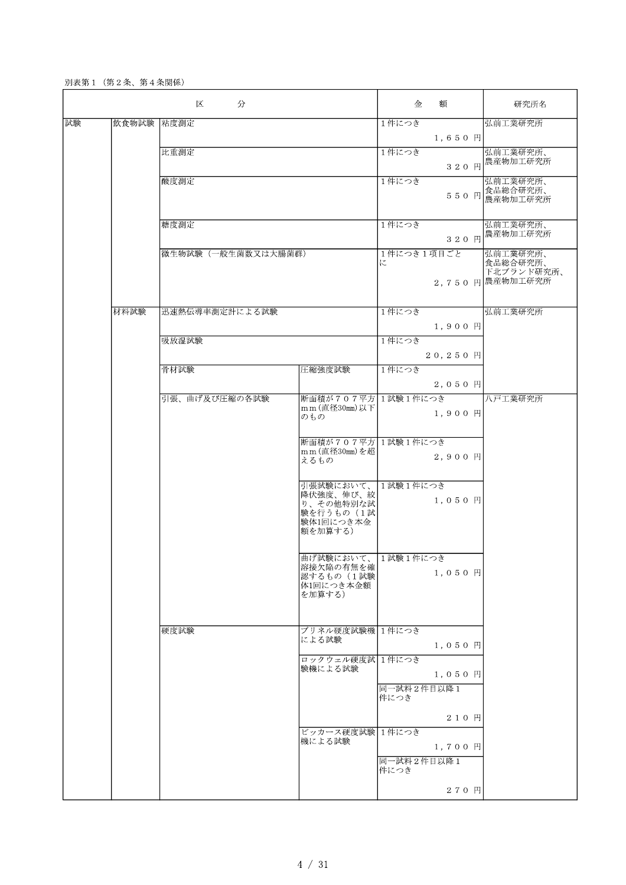別表第1 (第2条、第4条関係)

|    | 区<br>分      |                    |                                                                           | 額<br>金                       | 研究所名                                                   |
|----|-------------|--------------------|---------------------------------------------------------------------------|------------------------------|--------------------------------------------------------|
| 試験 | 飲食物試験  粘度測定 |                    |                                                                           | 1件につき<br>1,650 円             | 弘前工業研究所                                                |
|    |             | 比重測定               |                                                                           | 1件につき<br>320 円               | 弘前工業研究所、<br>農産物加工研究所                                   |
|    |             | 酸度測定               |                                                                           | 1件につき                        | 弘前工業研究所、<br>550 円 食品総合研究所、                             |
|    |             | 糖度測定               |                                                                           | 1件につき<br>320 円               | 弘前工業研究所、<br>農産物加工研究所                                   |
|    |             | 微生物試験(一般生菌数又は大腸菌群) |                                                                           | 1件につき1項目ごと<br>に              | 弘前工業研究所、<br>食品総合研究所、<br>下北ブランド研究所、<br>2,750 円 農産物加工研究所 |
|    | 材料試験        | 迅速熱伝導率測定計による試験     |                                                                           | 1件につき<br>1,900 円             | 弘前工業研究所                                                |
|    |             | 吸放湿試験              |                                                                           | 1件につき<br>20,250 円            |                                                        |
|    |             | 骨材試験               | 圧縮強度試験                                                                    | 1件につき<br>$2,050$ 円           |                                                        |
|    |             | 引張、曲げ及び圧縮の各試験      | 断面積が707平方 1試験1件につき<br>mm (直径30mm) 以下<br>のもの                               | 1,900 円                      | 八戸工業研究所                                                |
|    |             |                    | 断面積が707平方 1試験1件につき<br>mm (直径30mm)を超<br>えるもの                               | 2,900 円                      |                                                        |
|    |             |                    | 引張試験において、<br>降伏強度、伸び、絞<br>り、その他特別な試<br>験を行うもの (1試<br>験体1回につき本金<br>額を加算する) | 1試験1件につき<br>1,050円           |                                                        |
|    |             |                    | 曲げ試験において、1試験1件につき<br>溶接欠陥の有無を確<br>認するもの (1試験<br>体1回につき本金額<br>を加算する)       | 1,050円                       |                                                        |
|    |             | 硬度試験               | ブリネル硬度試験機 1件につき<br>による試験                                                  | 1,050円                       |                                                        |
|    |             |                    | ロックウェル硬度試 1件につき<br>験機による試験                                                | 1,050円<br>同一試料2件目以降1<br>件につき |                                                        |
|    |             |                    |                                                                           | 210 円                        |                                                        |
|    |             |                    | ビッカース硬度試験 1件につき<br>機による試験                                                 | 1,700円<br>同一試料2件目以降1         |                                                        |
|    |             |                    |                                                                           | 件につき<br>270 円                |                                                        |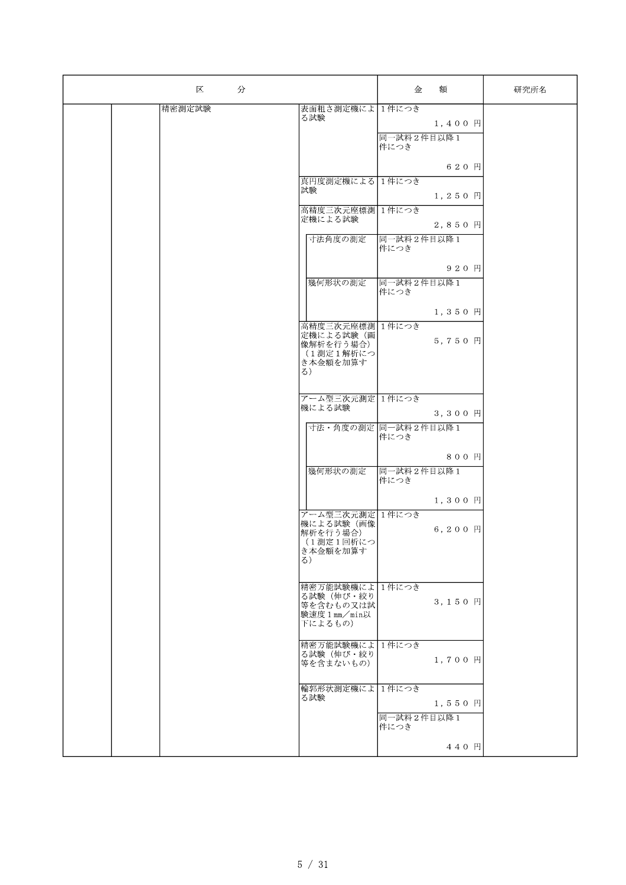| 分<br>区 |                          | 金                  | 額       | 研究所名 |
|--------|--------------------------|--------------------|---------|------|
| 精密測定試験 | 表面粗さ測定機によ 1件につき          |                    |         |      |
|        | る試験                      |                    | 1,400円  |      |
|        |                          |                    |         |      |
|        |                          | 同一試料2件目以降1         |         |      |
|        |                          | 件につき               |         |      |
|        |                          |                    | 620円    |      |
|        |                          |                    |         |      |
|        | 真円度測定機による 1件につき          |                    |         |      |
|        | 試験                       |                    | 1,250円  |      |
|        | 高精度三次元座標測 1件につき          |                    |         |      |
|        | 定機による試験                  |                    |         |      |
|        |                          |                    | 2,850円  |      |
|        | 寸法角度の測定                  | 同一試料2件目以降1         |         |      |
|        |                          | 件につき               |         |      |
|        |                          |                    |         |      |
|        |                          |                    | 920 円   |      |
|        | 幾何形状の測定                  | 同一試料2件目以降1         |         |      |
|        |                          | 件につき               |         |      |
|        |                          |                    |         |      |
|        |                          |                    | 1,350円  |      |
|        | 高精度三次元座標測 1件につき          |                    |         |      |
|        | 定機による試験(画                |                    | 5,750円  |      |
|        | 像解析を行う場合)<br>(1測定1解析につ   |                    |         |      |
|        | き本金額を加算す                 |                    |         |      |
|        | $\delta$ )               |                    |         |      |
|        |                          |                    |         |      |
|        | アーム型三次元測定1件につき           |                    |         |      |
|        | 機による試験                   |                    |         |      |
|        |                          |                    | 3,300円  |      |
|        | 寸法・角度の測定 同一試料2件目以降1      |                    |         |      |
|        |                          | 件につき               |         |      |
|        |                          |                    |         |      |
|        |                          |                    | 800円    |      |
|        | 幾何形状の測定                  | 同一試料2件目以降1         |         |      |
|        |                          | 件につき               |         |      |
|        |                          |                    | 1,300円  |      |
|        |                          |                    |         |      |
|        | アーム型三次元測定 1件につき          |                    |         |      |
|        | 機による試験(画像<br>解析を行う場合)    |                    | 6,200 円 |      |
|        | (1測定1回析につ                |                    |         |      |
|        | き本金額を加算す                 |                    |         |      |
|        | $\delta$ )               |                    |         |      |
|        |                          |                    |         |      |
|        | 精密万能試験機によ 1件につき          |                    |         |      |
|        | る試験(伸び・絞り                |                    | 3,150円  |      |
|        | 等を含むもの又は試                |                    |         |      |
|        | 験速度 1 mm/min以<br>下によるもの) |                    |         |      |
|        |                          |                    |         |      |
|        | 精密万能試験機によ 1件につき          |                    |         |      |
|        | る試験(伸び・絞り                |                    |         |      |
|        | 等を含まないもの)                |                    | 1,700円  |      |
|        |                          |                    |         |      |
|        | 輪郭形状測定機によ 1件につき          |                    |         |      |
|        | る試験                      |                    | 1,550円  |      |
|        |                          |                    |         |      |
|        |                          | 同一試料2件目以降1<br>件につき |         |      |
|        |                          |                    |         |      |
|        |                          |                    | 440 円   |      |
|        |                          |                    |         |      |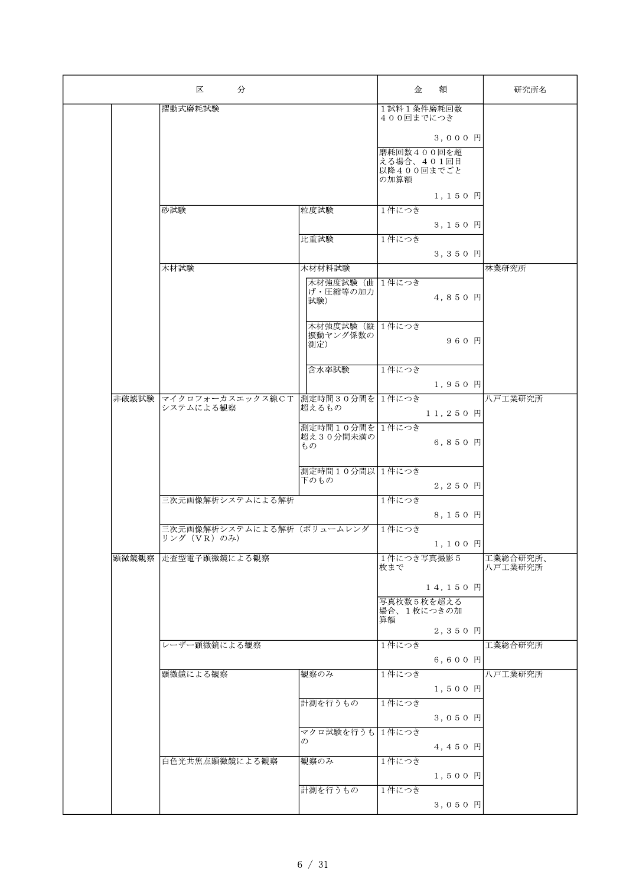|       | 区<br>分                                       |                             |                          | 額          | 研究所名                |
|-------|----------------------------------------------|-----------------------------|--------------------------|------------|---------------------|
|       | 摺動式磨耗試験                                      |                             | 1試料1条件磨耗回数<br>400回までにつき  |            |                     |
|       |                                              |                             |                          | $3,000$ 円  |                     |
|       |                                              |                             | 磨耗回数400回を超               |            |                     |
|       |                                              |                             | える場合、401回目<br>以降400回までごと |            |                     |
|       |                                              |                             | の加算額                     |            |                     |
|       | 砂試験                                          | 粒度試験                        | 1件につき                    | 1,150円     |                     |
|       |                                              |                             |                          | 3,150 円    |                     |
|       |                                              | 比重試験                        | 1件につき                    |            |                     |
|       |                                              |                             |                          | 3,350 円    |                     |
|       | 木材試験                                         | 木材材料試験<br>木材強度試験 (曲 1件につき   |                          |            | 林業研究所               |
|       |                                              | げ・圧縮等の加力<br>試験)             |                          | 4,850 円    |                     |
|       |                                              |                             |                          |            |                     |
|       |                                              | 木材強度試験 (縦 1件につき<br>振動ヤング係数の |                          |            |                     |
|       |                                              | 測定)                         |                          | 960円       |                     |
|       |                                              | 含水率試験                       | 1件につき                    |            |                     |
|       |                                              |                             |                          | 1,950円     |                     |
| 非破壊試験 | マイクロフォーカスエックス線CT 測定時間30分間を1件につき<br>システムによる観察 | 超えるもの                       |                          |            | 八戸工業研究所             |
|       |                                              | 測定時間10分間を                   | 1件につき                    | 11,250 円   |                     |
|       |                                              | 超え30分間未満の<br>もの             |                          | 6,850 円    |                     |
|       |                                              |                             |                          |            |                     |
|       |                                              | 測定時間10分間以 1件につき<br>下のもの     |                          |            |                     |
|       | 三次元画像解析システムによる解析                             |                             | 1件につき                    | 2,250円     |                     |
|       |                                              |                             |                          | 8,150 円    |                     |
|       | 三次元画像解析システムによる解析(ボリュームレンダ<br>リング (VR) のみ)    |                             | 1件につき                    |            |                     |
|       |                                              |                             |                          | 1,100 円    |                     |
| 顕微鏡観察 | 走査型電子顕微鏡による観察                                |                             | 1件につき写真撮影5<br>枚まで        |            | 工業総合研究所、<br>八戸工業研究所 |
|       |                                              |                             |                          | 14,150 円   |                     |
|       |                                              |                             | 写真枚数5枚を超える<br>場合、1枚につきの加 |            |                     |
|       |                                              |                             | 算額                       |            |                     |
|       | レーザー顕微鏡による観察                                 |                             | 1件につき                    | 2,350 円    | 工業総合研究所             |
|       |                                              |                             |                          | $6, 600$ F |                     |
|       | 顕微鏡による観察                                     | 観察のみ                        | 1件につき                    |            | 八戸工業研究所             |
|       |                                              | 計測を行うもの                     |                          | 1,500 円    |                     |
|       |                                              |                             | 1件につき                    | 3,050 円    |                     |
|       |                                              | マクロ試験を行うも                   | 1件につき                    |            |                     |
|       |                                              | $\mathcal{D}$               |                          | 4,450円     |                     |
|       | 白色光共焦点顕微鏡による観察                               | 観察のみ                        | 1件につき                    |            |                     |
|       |                                              | 計測を行うもの                     | 1件につき                    | 1,500 円    |                     |
|       |                                              |                             |                          | 3,050 円    |                     |
|       |                                              |                             |                          |            |                     |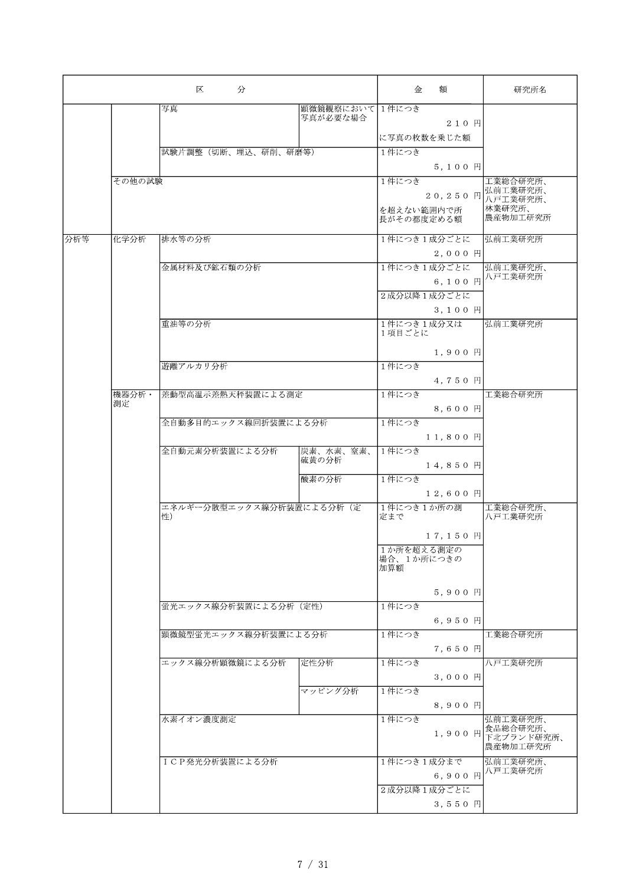| 区<br>分 |                |                          |                            | 金                    | 額                 | 研究所名                   |
|--------|----------------|--------------------------|----------------------------|----------------------|-------------------|------------------------|
|        |                | 写真                       | 顕微鏡観察において1件につき<br>写真が必要な場合 |                      |                   |                        |
|        |                |                          |                            |                      | 210円              |                        |
|        |                |                          |                            |                      | に写真の枚数を乗じた額       |                        |
|        |                | 試験片調整 (切断、埋込、研削、研磨等)     |                            | 1件につき                |                   |                        |
|        |                |                          |                            |                      | 5,100円            |                        |
|        | その他の試験         |                          |                            | 1件につき                |                   | 工業総合研究所、               |
|        |                |                          |                            |                      |                   | 20,250 円 弘前工業研究所、      |
|        |                |                          |                            | を超えない範囲内で所           |                   | 林業研究所、<br>農産物加工研究所     |
|        |                |                          |                            | 長がその都度定める額           |                   |                        |
| 分析等    | 化学分析           | 排水等の分析                   |                            |                      | 1件につき1成分ごとに       | 弘前工業研究所                |
|        |                |                          |                            |                      | 2,000 円           |                        |
|        |                | 金属材料及び鉱石類の分析             |                            |                      | 1件につき1成分ごとに       | 弘前工業研究所、<br>八戸工業研究所    |
|        |                |                          |                            |                      | 6,100円            |                        |
|        |                |                          |                            |                      | 2成分以降1成分ごとに       |                        |
|        |                |                          |                            |                      | $3, 100$ 円        |                        |
|        |                | 重油等の分析                   |                            | 1件につき1成分又は<br>1項目ごとに |                   | 弘前工業研究所                |
|        |                |                          |                            |                      |                   |                        |
|        |                |                          |                            |                      | 1,900円            |                        |
|        |                | 遊離アルカリ分析                 |                            | 1件につき                |                   |                        |
|        |                |                          |                            |                      | 4,750 円           |                        |
|        | 機器分析·<br>測定    | 差動型高温示差熱天秤装置による測定        |                            | 1件につき                |                   | 工業総合研究所                |
|        |                |                          |                            |                      | 8,600円            |                        |
|        |                | 全自動多目的エックス線回折装置による分析     |                            | 1件につき                |                   |                        |
|        |                | 全自動元素分析装置による分析           | 炭素、水素、窒素、                  | 1件につき                | 11,800円           |                        |
|        |                |                          | 硫黄の分析                      |                      | 14,850円           |                        |
|        |                |                          | 酸素の分析                      | 1件につき                |                   |                        |
|        |                |                          |                            |                      | 12,600 円          |                        |
|        |                | エネルギー分散型エックス線分析装置による分析(定 |                            | 1件につき1か所の測           |                   | 工業総合研究所、               |
|        |                | 性)                       |                            | 定まで                  |                   | 八戸工業研究所                |
|        |                |                          |                            |                      | 17,150 円          |                        |
|        |                |                          |                            | 1か所を超える測定の           |                   |                        |
|        |                |                          |                            | 場合、1か所につきの<br>加算額    |                   |                        |
|        |                |                          |                            |                      |                   |                        |
|        |                |                          |                            |                      | 5,900円            |                        |
|        |                | 蛍光エックス線分析装置による分析(定性)     |                            | 1件につき                |                   |                        |
|        |                |                          |                            |                      | $6,950 \;{\rm H}$ |                        |
|        |                | 顕微鏡型蛍光エックス線分析装置による分析     |                            | 1件につき                |                   | 工業総合研究所                |
|        |                |                          |                            |                      | 7,650円            |                        |
|        |                | エックス線分析顕微鏡による分析          | 定性分析                       | 1件につき                |                   | 八戸工業研究所                |
|        |                |                          |                            |                      | 3,000円            |                        |
|        |                |                          | マッピング分析                    | 1件につき                |                   |                        |
|        |                |                          |                            |                      | 8,900円            |                        |
|        |                | 水素イオン濃度測定                |                            | 1件につき                |                   | 弘前工業研究所、<br>食品総合研究所、   |
|        |                |                          |                            |                      | 1,900円            | 下北ブランド研究所、<br>農産物加工研究所 |
|        | ICP発光分析装置による分析 |                          | 1件につき1成分まで                 |                      | 弘前工業研究所、          |                        |
|        |                |                          |                            |                      | 6,900円            | 八戸工業研究所                |
|        |                |                          |                            |                      | 2成分以降1成分ごとに       |                        |
|        |                |                          |                            |                      | 3,550円            |                        |
|        |                |                          |                            |                      |                   |                        |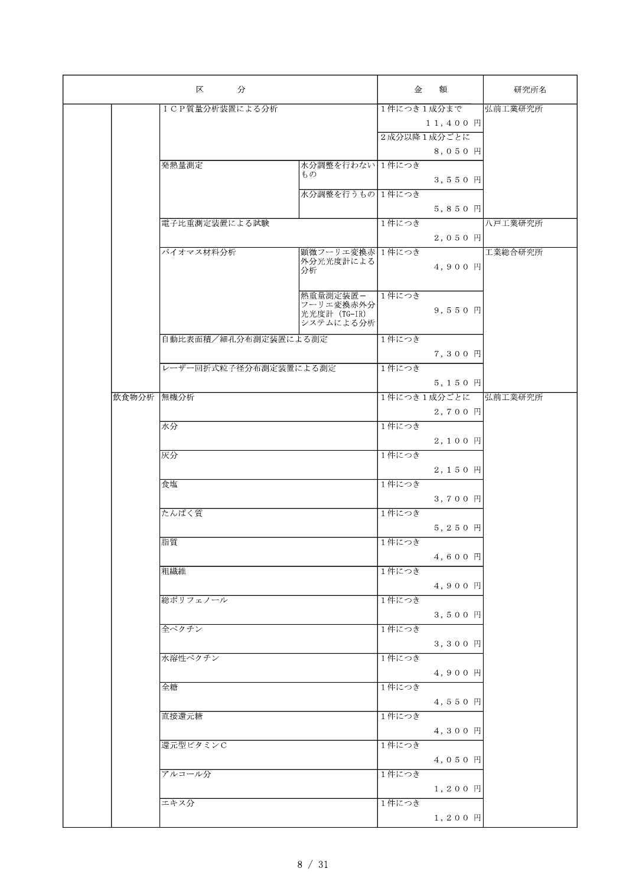|            | 区<br>分                |                           | 金          | 額           | 研究所名    |
|------------|-----------------------|---------------------------|------------|-------------|---------|
|            | ICP質量分析装置による分析        |                           | 1件につき1成分まで |             | 弘前工業研究所 |
|            |                       |                           |            | 11,400 円    |         |
|            |                       |                           |            | 2成分以降1成分ごとに |         |
|            |                       |                           |            | 8,050円      |         |
|            | 発熱量測定                 | 水分調整を行わない 1件につき           |            |             |         |
|            |                       | もの                        |            | 3,550円      |         |
|            |                       | 水分調整を行うもの 1件につき           |            |             |         |
|            |                       |                           |            | 5,850 円     |         |
|            | 電子比重測定装置による試験         |                           | 1件につき      |             | 八戸工業研究所 |
|            |                       |                           |            | 2,050 円     |         |
|            | バイオマス材料分析             | 顕微フーリエ変換赤 1件につき           |            |             | 工業総合研究所 |
|            |                       | 外分光光度計による<br>分析           |            | 4,900 円     |         |
|            |                       |                           |            |             |         |
|            |                       | 熱重量測定装置-                  | 1件につき      |             |         |
|            |                       | フーリエ変換赤外分<br>光光度計 (TG-IR) |            | 9,550円      |         |
|            |                       | システムによる分析                 |            |             |         |
|            | 自動比表面積/細孔分布測定装置による測定  |                           | 1件につき      |             |         |
|            |                       |                           |            | 7,300 円     |         |
|            | レーザー回折式粒子径分布測定装置による測定 |                           | 1件につき      |             |         |
|            |                       |                           |            | 5,150 円     |         |
| 飲食物分析 無機分析 |                       |                           |            | 1件につき1成分ごとに | 弘前工業研究所 |
|            |                       |                           |            | 2,700円      |         |
|            | 水分                    |                           | 1件につき      |             |         |
|            |                       |                           |            |             |         |
|            | 灰分                    |                           | 1件につき      | 2,100円      |         |
|            |                       |                           |            |             |         |
|            |                       |                           |            | 2,150円      |         |
|            | 食塩                    |                           | 1件につき      |             |         |
|            |                       |                           |            | 3,700円      |         |
|            | たんぱく質                 |                           | 1件につき      |             |         |
|            |                       |                           |            | 5,250 円     |         |
|            | 脂質                    |                           | 1件につき      |             |         |
|            |                       |                           |            | 4,600円      |         |
|            | 粗繊維                   |                           | 1件につき      |             |         |
|            |                       |                           |            | 4,900円      |         |
|            | 総ポリフェノール              |                           | 1件につき      |             |         |
|            |                       |                           |            | 3,500円      |         |
|            | 全ペクチン                 |                           | 1件につき      |             |         |
|            |                       |                           |            | 3,300円      |         |
|            | 水溶性ペクチン               |                           | 1件につき      |             |         |
|            |                       |                           |            | 4,900円      |         |
|            | 全糖                    |                           | 1件につき      |             |         |
|            |                       |                           |            | 4,550円      |         |
|            | 直接還元糖                 |                           | 1件につき      |             |         |
|            |                       |                           |            | 4,300円      |         |
|            | 還元型ビタミンC              |                           | 1件につき      |             |         |
|            |                       |                           |            | 4,050円      |         |
|            | アルコール分                |                           | 1件につき      |             |         |
|            |                       |                           |            | 1,200円      |         |
|            | エキス分                  |                           | 1件につき      |             |         |
|            |                       |                           |            | $1, 200$ 円  |         |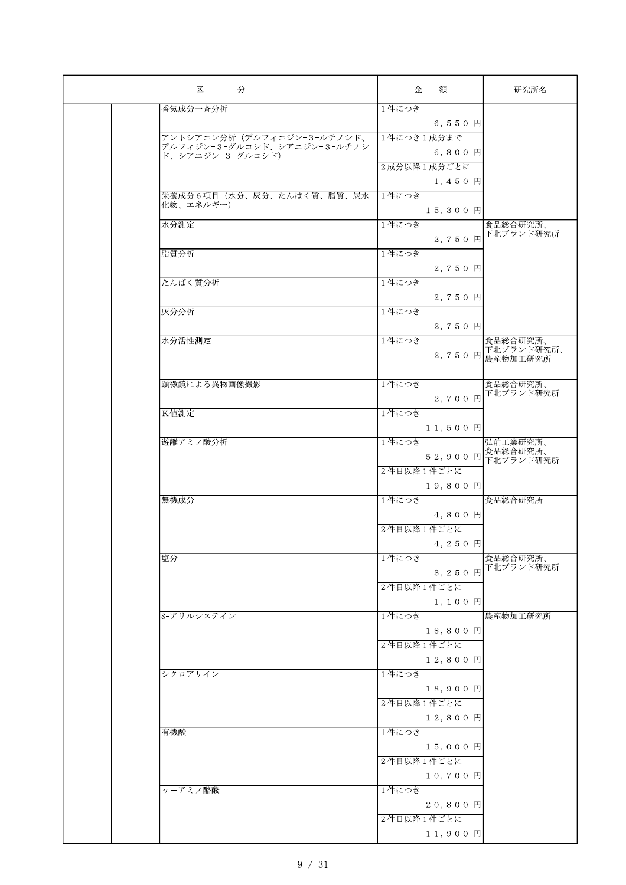| 区<br>分                                          | 額<br>金      | 研究所名                  |
|-------------------------------------------------|-------------|-----------------------|
| 香気成分一斉分析                                        | 1件につき       |                       |
|                                                 | 6,550円      |                       |
| アントシアニン分析 (デルフィニジン-3-ルチノシド、                     | 1件につき1成分まで  |                       |
| デルフィジン-3-グルコシド、シアニジン-3-ルチノシ<br>ド、シアニジン-3-グルコシド) | 6,800円      |                       |
|                                                 | 2成分以降1成分ごとに |                       |
|                                                 | 1,450円      |                       |
| 栄養成分6項目(水分、灰分、たんぱく質、脂質、炭水                       | 1件につき       |                       |
| 化物、エネルギー)                                       | 15,300 円    |                       |
| 水分測定                                            | 1件につき       | 食品総合研究所、              |
|                                                 | 2,750 円     | 下北ブランド研究所             |
|                                                 |             |                       |
| 脂質分析                                            | 1件につき       |                       |
|                                                 | 2,750 円     |                       |
| たんぱく質分析                                         | 1件につき       |                       |
|                                                 | 2,750円      |                       |
| 灰分分析                                            | 1件につき       |                       |
|                                                 | 2,750 円     |                       |
| 水分活性測定                                          | 1件につき       | 食品総合研究所、              |
|                                                 |             | 2,750 円 下北ブランド研究所、    |
|                                                 |             |                       |
| 顕微鏡による異物画像撮影                                    | 1件につき       | 食品総合研究所、              |
|                                                 | 2,700 円     | 下北ブランド研究所             |
| K值測定                                            | 1件につき       |                       |
|                                                 | 11,500 円    |                       |
| 遊離アミノ酸分析                                        | 1件につき       | 弘前工業研究所、              |
|                                                 | 52,900 円    | 食品総合研究所、              |
|                                                 | 2件目以降1件ごとに  | 下北ブランド研究所             |
|                                                 | 19,800 円    |                       |
| 無機成分                                            | 1件につき       | 食品総合研究所               |
|                                                 | 4,800円      |                       |
|                                                 | 2件目以降1件ごとに  |                       |
|                                                 |             |                       |
|                                                 | 4,250 円     |                       |
| 塩分                                              | 1件につき       | 食品総合研究所、<br>下北ブランド研究所 |
|                                                 | 3,250 円     |                       |
|                                                 | 2件目以降1件ごとに  |                       |
|                                                 | 1,100円      |                       |
| S-アリルシステイン                                      | 1件につき       | 農産物加工研究所              |
|                                                 | 18,800 円    |                       |
|                                                 | 2件目以降1件ごとに  |                       |
|                                                 | 12,800 円    |                       |
| シクロアリイン                                         | 1件につき       |                       |
|                                                 | 18,900円     |                       |
|                                                 | 2件目以降1件ごとに  |                       |
|                                                 | 12,800 円    |                       |
| 有機酸                                             | 1件につき       |                       |
|                                                 | 15,000円     |                       |
|                                                 | 2件目以降1件ごとに  |                       |
|                                                 | 10,700 円    |                       |
| γーアミノ酪酸                                         | 1件につき       |                       |
|                                                 | 20,800 円    |                       |
|                                                 | 2件目以降1件ごとに  |                       |
|                                                 | 11,900 円    |                       |
|                                                 |             |                       |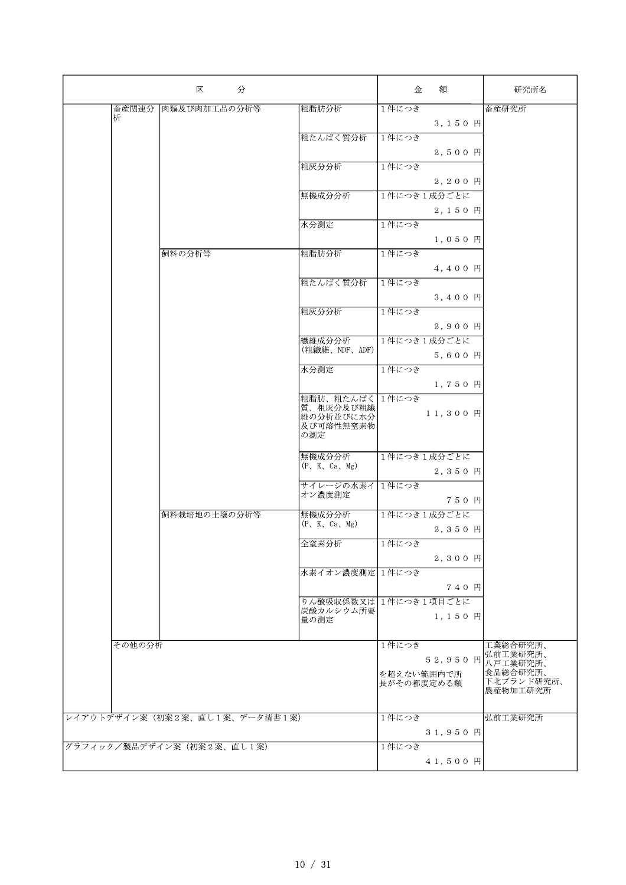| 肉類及び肉加工品の分析等<br>1件につき<br>畜産関連分<br>粗脂肪分析<br>畜産研究所<br>析<br>3,150円<br>粗たんぱく質分析<br>1件につき<br>2.500 円<br>粗灰分分析<br>1件につき<br>2,200円<br>無機成分分析<br>1件につき1成分ごとに<br>2,150円<br>水分測定<br>1件につき<br>1,050円<br>粗脂肪分析<br>飼料の分析等<br>1件につき<br>4,400円<br>粗たんぱく質分析<br>1件につき<br>$3,400$ H<br>1件につき<br>粗灰分分析<br>2,900 円<br>1件につき1成分ごとに<br>繊維成分分析<br>(粗繊維、NDF、ADF)<br>5,600円<br>1件につき<br>水分測定<br>1,750円<br>粗脂肪、粗たんぱく 1件につき<br>質、粗灰分及び粗繊<br>11,300円<br>維の分析並びに水分<br>及び可溶性無窒素物<br>の測定<br>無機成分分析<br>1件につき1成分ごとに<br>(P, K, Ca, Mg)<br>2,350円<br>サイレージの水素イ<br>1件につき<br>オン濃度測定<br>750円<br>飼料栽培地の土壌の分析等<br>無機成分分析<br>1件につき1成分ごとに<br>(P, K, Ca, Mg)<br>2,350円<br>全窒素分析<br> 1件につき<br>2,300円<br>水素イオン濃度測定 1件につき<br>740円<br>りん酸吸収係数又は1件につき1項目ごとに<br>炭酸カルシウム所要<br>1,150円<br>量の測定<br>その他の分析<br>1件につき<br>工業総合研究所、<br>弘前工業研究所、<br>52,950 円<br>八戸工業研究所、<br>食品総合研究所、<br>を超えない範囲内で所<br>下北ブランド研究所、<br>長がその都度定める額<br>農産物加工研究所<br>レイアウトデザイン案(初案2案、直し1案、データ清書1案)<br>1件につき<br>弘前工業研究所<br>31,950円<br>グラフィック/製品デザイン案 (初案2案、直し1案)<br>1件につき<br>41,500円 | 区<br>分 |  |  | 金 | 額 | 研究所名 |
|---------------------------------------------------------------------------------------------------------------------------------------------------------------------------------------------------------------------------------------------------------------------------------------------------------------------------------------------------------------------------------------------------------------------------------------------------------------------------------------------------------------------------------------------------------------------------------------------------------------------------------------------------------------------------------------------------------------------------------------------------------------------------------------------------------------------------------------------------------------------------------------------------------------------------------------------------------------------------------------------------|--------|--|--|---|---|------|
|                                                                                                                                                                                                                                                                                                                                                                                                                                                                                                                                                                                                                                                                                                                                                                                                                                                                                                                                                                                                   |        |  |  |   |   |      |
|                                                                                                                                                                                                                                                                                                                                                                                                                                                                                                                                                                                                                                                                                                                                                                                                                                                                                                                                                                                                   |        |  |  |   |   |      |
|                                                                                                                                                                                                                                                                                                                                                                                                                                                                                                                                                                                                                                                                                                                                                                                                                                                                                                                                                                                                   |        |  |  |   |   |      |
|                                                                                                                                                                                                                                                                                                                                                                                                                                                                                                                                                                                                                                                                                                                                                                                                                                                                                                                                                                                                   |        |  |  |   |   |      |
|                                                                                                                                                                                                                                                                                                                                                                                                                                                                                                                                                                                                                                                                                                                                                                                                                                                                                                                                                                                                   |        |  |  |   |   |      |
|                                                                                                                                                                                                                                                                                                                                                                                                                                                                                                                                                                                                                                                                                                                                                                                                                                                                                                                                                                                                   |        |  |  |   |   |      |
|                                                                                                                                                                                                                                                                                                                                                                                                                                                                                                                                                                                                                                                                                                                                                                                                                                                                                                                                                                                                   |        |  |  |   |   |      |
|                                                                                                                                                                                                                                                                                                                                                                                                                                                                                                                                                                                                                                                                                                                                                                                                                                                                                                                                                                                                   |        |  |  |   |   |      |
|                                                                                                                                                                                                                                                                                                                                                                                                                                                                                                                                                                                                                                                                                                                                                                                                                                                                                                                                                                                                   |        |  |  |   |   |      |
|                                                                                                                                                                                                                                                                                                                                                                                                                                                                                                                                                                                                                                                                                                                                                                                                                                                                                                                                                                                                   |        |  |  |   |   |      |
|                                                                                                                                                                                                                                                                                                                                                                                                                                                                                                                                                                                                                                                                                                                                                                                                                                                                                                                                                                                                   |        |  |  |   |   |      |
|                                                                                                                                                                                                                                                                                                                                                                                                                                                                                                                                                                                                                                                                                                                                                                                                                                                                                                                                                                                                   |        |  |  |   |   |      |
|                                                                                                                                                                                                                                                                                                                                                                                                                                                                                                                                                                                                                                                                                                                                                                                                                                                                                                                                                                                                   |        |  |  |   |   |      |
|                                                                                                                                                                                                                                                                                                                                                                                                                                                                                                                                                                                                                                                                                                                                                                                                                                                                                                                                                                                                   |        |  |  |   |   |      |
|                                                                                                                                                                                                                                                                                                                                                                                                                                                                                                                                                                                                                                                                                                                                                                                                                                                                                                                                                                                                   |        |  |  |   |   |      |
|                                                                                                                                                                                                                                                                                                                                                                                                                                                                                                                                                                                                                                                                                                                                                                                                                                                                                                                                                                                                   |        |  |  |   |   |      |
|                                                                                                                                                                                                                                                                                                                                                                                                                                                                                                                                                                                                                                                                                                                                                                                                                                                                                                                                                                                                   |        |  |  |   |   |      |
|                                                                                                                                                                                                                                                                                                                                                                                                                                                                                                                                                                                                                                                                                                                                                                                                                                                                                                                                                                                                   |        |  |  |   |   |      |
|                                                                                                                                                                                                                                                                                                                                                                                                                                                                                                                                                                                                                                                                                                                                                                                                                                                                                                                                                                                                   |        |  |  |   |   |      |
|                                                                                                                                                                                                                                                                                                                                                                                                                                                                                                                                                                                                                                                                                                                                                                                                                                                                                                                                                                                                   |        |  |  |   |   |      |
|                                                                                                                                                                                                                                                                                                                                                                                                                                                                                                                                                                                                                                                                                                                                                                                                                                                                                                                                                                                                   |        |  |  |   |   |      |
|                                                                                                                                                                                                                                                                                                                                                                                                                                                                                                                                                                                                                                                                                                                                                                                                                                                                                                                                                                                                   |        |  |  |   |   |      |
|                                                                                                                                                                                                                                                                                                                                                                                                                                                                                                                                                                                                                                                                                                                                                                                                                                                                                                                                                                                                   |        |  |  |   |   |      |
|                                                                                                                                                                                                                                                                                                                                                                                                                                                                                                                                                                                                                                                                                                                                                                                                                                                                                                                                                                                                   |        |  |  |   |   |      |
|                                                                                                                                                                                                                                                                                                                                                                                                                                                                                                                                                                                                                                                                                                                                                                                                                                                                                                                                                                                                   |        |  |  |   |   |      |
|                                                                                                                                                                                                                                                                                                                                                                                                                                                                                                                                                                                                                                                                                                                                                                                                                                                                                                                                                                                                   |        |  |  |   |   |      |
|                                                                                                                                                                                                                                                                                                                                                                                                                                                                                                                                                                                                                                                                                                                                                                                                                                                                                                                                                                                                   |        |  |  |   |   |      |
|                                                                                                                                                                                                                                                                                                                                                                                                                                                                                                                                                                                                                                                                                                                                                                                                                                                                                                                                                                                                   |        |  |  |   |   |      |
|                                                                                                                                                                                                                                                                                                                                                                                                                                                                                                                                                                                                                                                                                                                                                                                                                                                                                                                                                                                                   |        |  |  |   |   |      |
|                                                                                                                                                                                                                                                                                                                                                                                                                                                                                                                                                                                                                                                                                                                                                                                                                                                                                                                                                                                                   |        |  |  |   |   |      |
|                                                                                                                                                                                                                                                                                                                                                                                                                                                                                                                                                                                                                                                                                                                                                                                                                                                                                                                                                                                                   |        |  |  |   |   |      |
|                                                                                                                                                                                                                                                                                                                                                                                                                                                                                                                                                                                                                                                                                                                                                                                                                                                                                                                                                                                                   |        |  |  |   |   |      |
|                                                                                                                                                                                                                                                                                                                                                                                                                                                                                                                                                                                                                                                                                                                                                                                                                                                                                                                                                                                                   |        |  |  |   |   |      |
|                                                                                                                                                                                                                                                                                                                                                                                                                                                                                                                                                                                                                                                                                                                                                                                                                                                                                                                                                                                                   |        |  |  |   |   |      |
|                                                                                                                                                                                                                                                                                                                                                                                                                                                                                                                                                                                                                                                                                                                                                                                                                                                                                                                                                                                                   |        |  |  |   |   |      |
|                                                                                                                                                                                                                                                                                                                                                                                                                                                                                                                                                                                                                                                                                                                                                                                                                                                                                                                                                                                                   |        |  |  |   |   |      |
|                                                                                                                                                                                                                                                                                                                                                                                                                                                                                                                                                                                                                                                                                                                                                                                                                                                                                                                                                                                                   |        |  |  |   |   |      |
|                                                                                                                                                                                                                                                                                                                                                                                                                                                                                                                                                                                                                                                                                                                                                                                                                                                                                                                                                                                                   |        |  |  |   |   |      |
|                                                                                                                                                                                                                                                                                                                                                                                                                                                                                                                                                                                                                                                                                                                                                                                                                                                                                                                                                                                                   |        |  |  |   |   |      |
|                                                                                                                                                                                                                                                                                                                                                                                                                                                                                                                                                                                                                                                                                                                                                                                                                                                                                                                                                                                                   |        |  |  |   |   |      |
|                                                                                                                                                                                                                                                                                                                                                                                                                                                                                                                                                                                                                                                                                                                                                                                                                                                                                                                                                                                                   |        |  |  |   |   |      |
|                                                                                                                                                                                                                                                                                                                                                                                                                                                                                                                                                                                                                                                                                                                                                                                                                                                                                                                                                                                                   |        |  |  |   |   |      |
|                                                                                                                                                                                                                                                                                                                                                                                                                                                                                                                                                                                                                                                                                                                                                                                                                                                                                                                                                                                                   |        |  |  |   |   |      |
|                                                                                                                                                                                                                                                                                                                                                                                                                                                                                                                                                                                                                                                                                                                                                                                                                                                                                                                                                                                                   |        |  |  |   |   |      |
|                                                                                                                                                                                                                                                                                                                                                                                                                                                                                                                                                                                                                                                                                                                                                                                                                                                                                                                                                                                                   |        |  |  |   |   |      |
|                                                                                                                                                                                                                                                                                                                                                                                                                                                                                                                                                                                                                                                                                                                                                                                                                                                                                                                                                                                                   |        |  |  |   |   |      |
|                                                                                                                                                                                                                                                                                                                                                                                                                                                                                                                                                                                                                                                                                                                                                                                                                                                                                                                                                                                                   |        |  |  |   |   |      |
|                                                                                                                                                                                                                                                                                                                                                                                                                                                                                                                                                                                                                                                                                                                                                                                                                                                                                                                                                                                                   |        |  |  |   |   |      |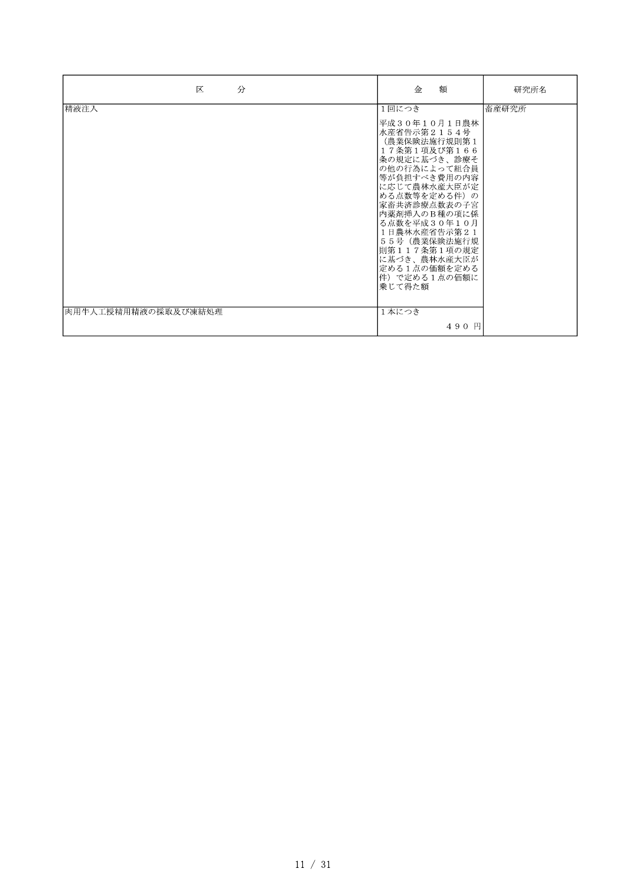| 区<br>分              | 金<br>額                                                                                                                                                                                                                                                                                                           | 研究所名  |
|---------------------|------------------------------------------------------------------------------------------------------------------------------------------------------------------------------------------------------------------------------------------------------------------------------------------------------------------|-------|
| 精液注入                | 1回につき<br>平成30年10月1日農林<br>水産省告示第2154号<br>(農業保険法施行規則第1<br>17条第1項及び第166<br>条の規定に基づき、診療そ<br>の他の行為によって組合員<br>等が負担すべき費用の内容<br>に応じて農林水産大臣が定<br>ゆる点数等を定める件)の<br>家畜共済診療点数表の子宮<br>内薬剤挿入のB種の項に係<br>る点数を平成30年10月<br>1日農林水産省告示第21<br>55号 (農業保険法施行規<br>則第117条第1項の規定<br>に基づき、農林水産大臣が<br>定める1点の価額を定める<br>件) で定める1点の価額に<br>乗じて得た額 | 畜産研究所 |
| 肉用牛人工授精用精液の採取及び凍結処理 | 1本につき<br>490円                                                                                                                                                                                                                                                                                                    |       |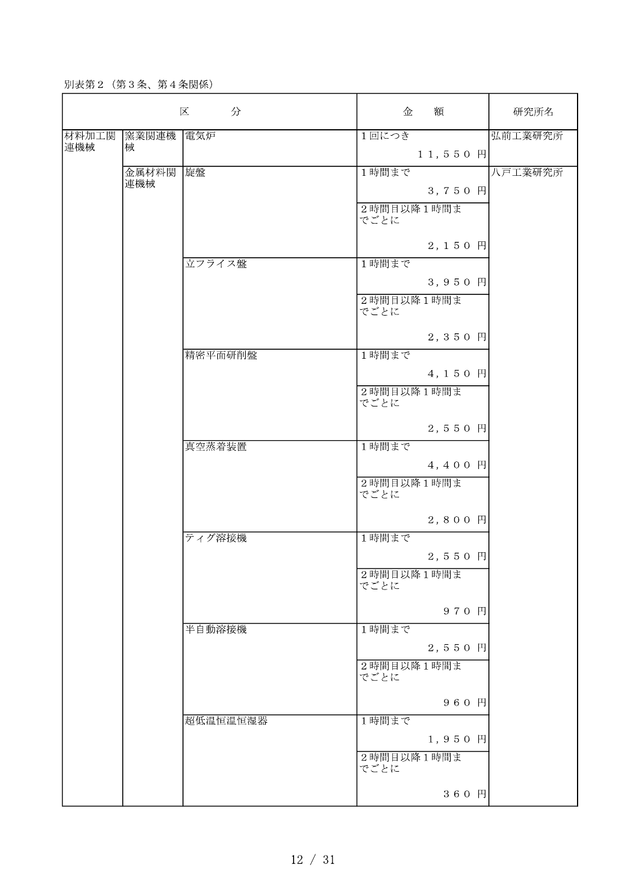別表第2 (第3条、第4条関係)

|       |       | 区<br>分   | 金                  | 額          | 研究所名    |
|-------|-------|----------|--------------------|------------|---------|
| 材料加工関 | 窯業関連機 | 電気炉      | 1回につき              |            | 弘前工業研究所 |
| 連機械   | 械     |          |                    | $11,550$ 円 |         |
|       | 金属材料関 | 旋盤       | 1時間まで              |            | 八戸工業研究所 |
|       | 連機械   |          |                    | 3,750 円    |         |
|       |       |          | 2時間目以降1時間ま<br>でごとに |            |         |
|       |       |          |                    | 2,150 円    |         |
|       |       | 立フライス盤   | 1時間まで              |            |         |
|       |       |          |                    | 3,950 円    |         |
|       |       |          | 2時間目以降1時間ま<br>でごとに |            |         |
|       |       |          |                    | 2,350 円    |         |
|       |       | 精密平面研削盤  | 1時間まで              |            |         |
|       |       |          |                    | 4,150 円    |         |
|       |       |          | 2時間目以降1時間ま<br>でごとに |            |         |
|       |       |          |                    | 2,550 円    |         |
|       |       | 真空蒸着装置   | 1時間まで              |            |         |
|       |       |          |                    | 4,400 円    |         |
|       |       |          | 2時間目以降1時間ま<br>でごとに |            |         |
|       |       |          |                    | 2,800 円    |         |
|       |       | ティグ溶接機   | 1時間まで              |            |         |
|       |       |          |                    | $2, 550$ 円 |         |
|       |       |          | 2時間目以降1時間ま<br>でごとに |            |         |
|       |       |          |                    | 970 円      |         |
|       |       | 半自動溶接機   | 1時間まで              |            |         |
|       |       |          |                    | 2,550 円    |         |
|       |       |          | 2時間目以降1時間ま<br>でごとに |            |         |
|       |       |          |                    | 960 円      |         |
|       |       | 超低温恒温恒湿器 | 1時間まで              |            |         |
|       |       |          |                    | $1, 950$ 円 |         |
|       |       |          | 2時間目以降1時間ま<br>でごとに |            |         |
|       |       |          |                    | 360 円      |         |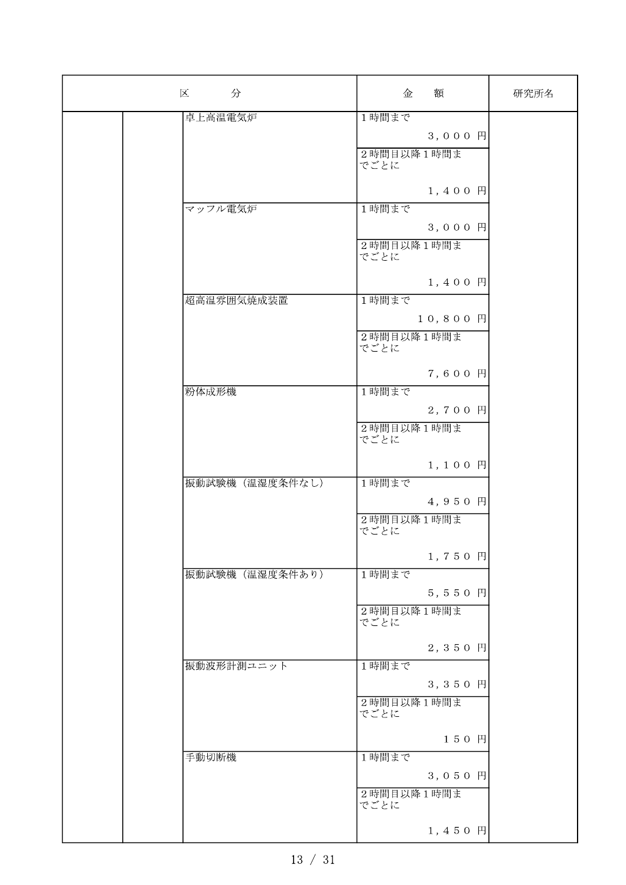| 分<br>区          | 額<br>金             | 研究所名 |
|-----------------|--------------------|------|
| 卓上高温電気炉         | 1時間まで              |      |
|                 | 3,000円             |      |
|                 | 2時間目以降1時間ま         |      |
|                 | でごとに               |      |
|                 |                    |      |
|                 | 1,400 円            |      |
| マッフル電気炉         | 1時間まで              |      |
|                 | 3,000円             |      |
|                 | 2時間目以降1時間ま         |      |
|                 | でごとに               |      |
|                 | 1,400 円            |      |
| 超高温雰囲気焼成装置      | 1時間まで              |      |
|                 | 10,800円            |      |
|                 | 2時間目以降1時間ま         |      |
|                 | でごとに               |      |
|                 |                    |      |
|                 | 7,600 円            |      |
| 粉体成形機           | 1時間まで              |      |
|                 | 2,700 円            |      |
|                 | 2時間目以降1時間ま<br>でごとに |      |
|                 |                    |      |
|                 | 1,100円             |      |
| 振動試験機 (温湿度条件なし) | 1時間まで              |      |
|                 | 4,950 円            |      |
|                 | 2時間目以降1時間ま         |      |
|                 | でごとに               |      |
|                 | 1,750 円            |      |
| 振動試験機 (温湿度条件あり) | 1時間まで              |      |
|                 | 5,550 円            |      |
|                 | 2時間目以降1時間ま         |      |
|                 | でごとに               |      |
|                 |                    |      |
|                 | 2,350 円            |      |
| 振動波形計測ユニット      | 1時間まで              |      |
|                 | 3,350 円            |      |
|                 | 2時間目以降1時間ま<br>でごとに |      |
|                 |                    |      |
|                 | 150円               |      |
| 手動切断機           | 1時間まで              |      |
|                 | 3,050 円            |      |
|                 | 2時間目以降1時間ま         |      |
|                 | でごとに               |      |
|                 | $1, 450$ $\vert$   |      |
|                 |                    |      |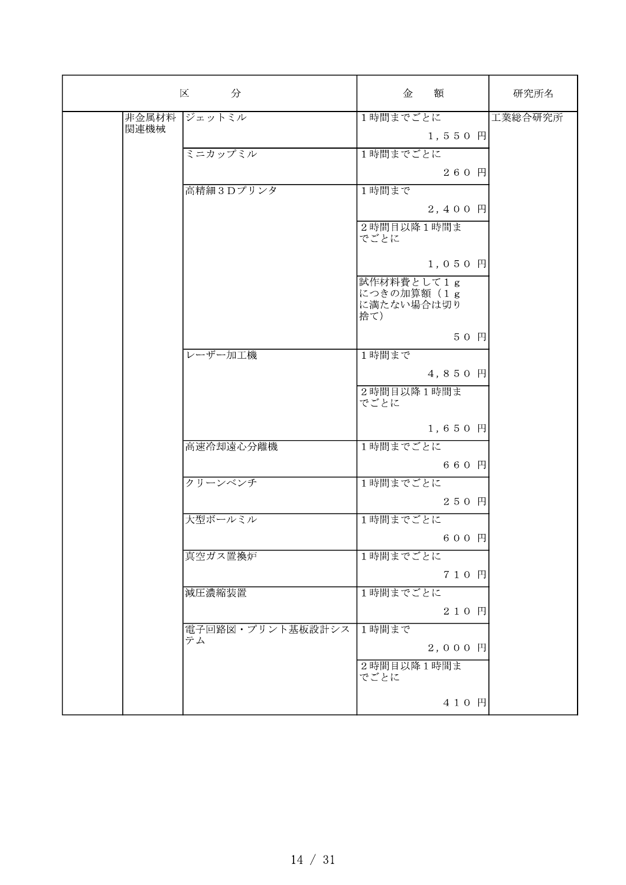|               | 分<br>区           | 額<br>金                                         | 研究所名    |
|---------------|------------------|------------------------------------------------|---------|
| 非金属材料<br>関連機械 | ジェットミル           | 1時間までごとに                                       | 工業総合研究所 |
|               |                  | $1, 550$ 円                                     |         |
|               | ミニカップミル          | 1時間までごとに                                       |         |
|               |                  | 260 円                                          |         |
|               | 高精細3Dプリンタ        | 1時間まで                                          |         |
|               |                  | 2,400 円<br>2時間目以降1時間ま                          |         |
|               |                  | でごとに                                           |         |
|               |                  | $1, 0 5 0$ 円                                   |         |
|               |                  | 試作材料費として1g<br>につきの加算額 (1g<br>に満たない場合は切り<br>捨て) |         |
|               |                  | 50円                                            |         |
|               | レーザー加工機          | 1時間まで                                          |         |
|               |                  | 4,850 円                                        |         |
|               |                  | 2時間目以降1時間ま<br>でごとに                             |         |
|               |                  | 1,650円                                         |         |
|               | 高速冷却遠心分離機        | 1時間までごとに                                       |         |
|               |                  | 660 円                                          |         |
|               | クリーンベンチ          | 1時間までごとに                                       |         |
|               |                  | 250 円                                          |         |
|               | 大型ボールミル          | 1時間までごとに                                       |         |
|               |                  | 600 円                                          |         |
|               | 真空ガス置換炉          | 1時間までごとに                                       |         |
|               |                  | 710 円                                          |         |
|               | 減圧濃縮装置           | 1時間までごとに<br>210円                               |         |
|               | 電子回路図・プリント基板設計シス | 1時間まで                                          |         |
|               | テム               | $2,000$ 円                                      |         |
|               |                  | 2時間目以降1時間ま<br>でごとに                             |         |
|               |                  | 410 円                                          |         |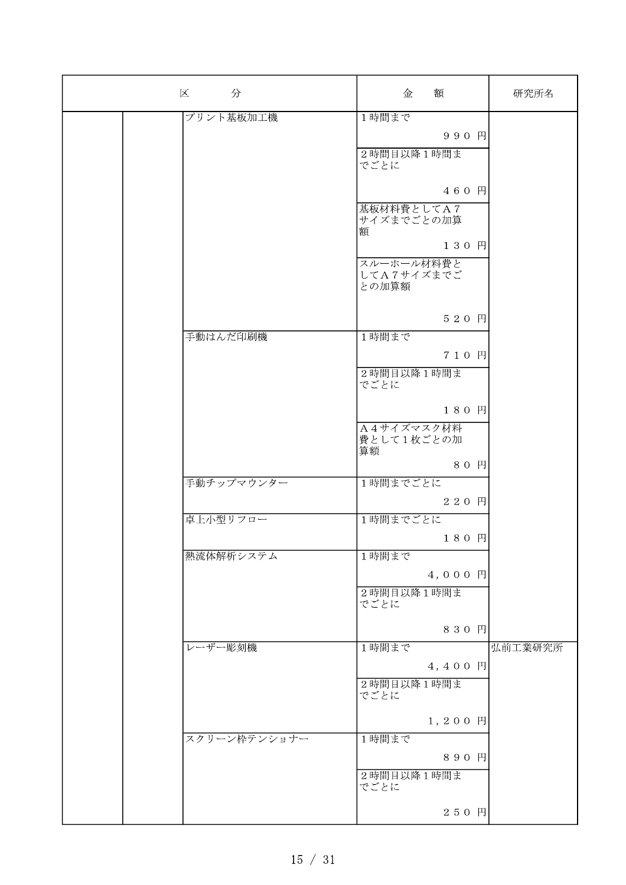| 分<br>区       | 額<br>金                   | 研究所名    |
|--------------|--------------------------|---------|
| プリント基板加工機    | 1時間まで                    |         |
|              | 990 円                    |         |
|              | 2時間目以降1時間ま               |         |
|              | でごとに                     |         |
|              | 460 円                    |         |
|              |                          |         |
|              | 基板材料費としてA7<br>サイズまでごとの加算 |         |
|              | 額                        |         |
|              | 130 円                    |         |
|              | スルーホール材料費と               |         |
|              | してA7サイズまでご<br>との加算額      |         |
|              |                          |         |
|              |                          |         |
|              | 520 円                    |         |
| 手動はんだ印刷機     | 1時間まで                    |         |
|              | 710 円                    |         |
|              | 2時間目以降1時間ま               |         |
|              | でごとに                     |         |
|              | 180 円                    |         |
|              | A4サイズマスク材料               |         |
|              | 費として1枚ごとの加               |         |
|              | 算額                       |         |
|              | 80 円                     |         |
| 手動チップマウンター   | 1時間までごとに                 |         |
|              | 220 円                    |         |
| 卓上小型リフロー     | 1時間までごとに                 |         |
|              | 180 円                    |         |
| 熱流体解析システム    | 1時間まで                    |         |
|              | 4,000 円                  |         |
|              | 2時間目以降1時間ま               |         |
|              | でごとに                     |         |
|              |                          |         |
|              | 830 円                    |         |
| レーザー彫刻機      | 1時間まで                    | 弘前工業研究所 |
|              | 4,400 円                  |         |
|              | 2時間目以降1時間ま               |         |
|              | でごとに                     |         |
|              | $1, 200$ 円               |         |
| スクリーン枠テンショナー | 1時間まで                    |         |
|              | 890 円                    |         |
|              |                          |         |
|              | 2時間目以降1時間ま<br>でごとに       |         |
|              |                          |         |
|              | 250 円                    |         |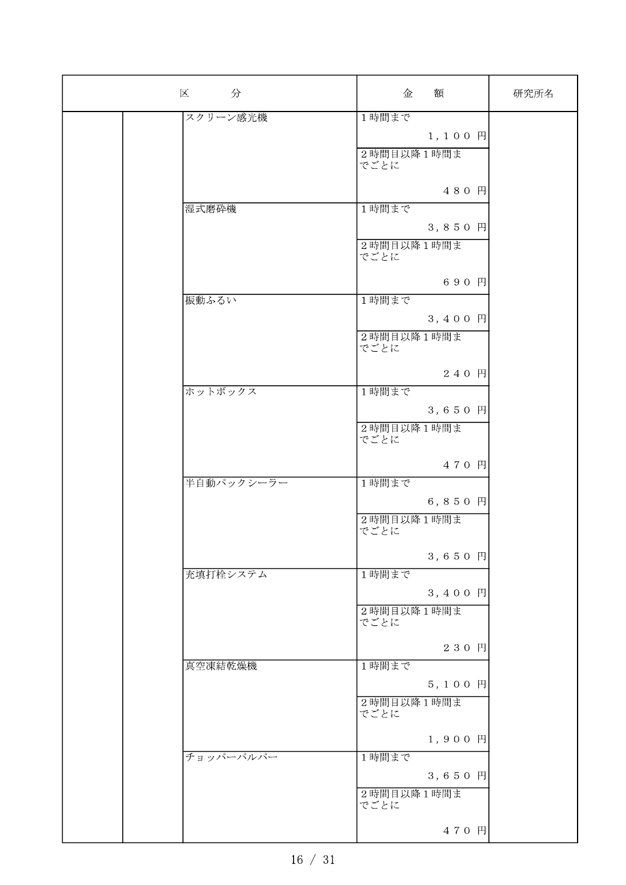| 分<br>区     | 金                  | 額                  | 研究所名 |
|------------|--------------------|--------------------|------|
| スクリーン感光機   | 1時間まで              |                    |      |
|            |                    | $1, 100$ $\Box$    |      |
|            | 2時間目以降1時間ま<br>でごとに |                    |      |
|            |                    | 480 円              |      |
| 湿式磨砕機      | 1時間まで              |                    |      |
|            |                    | 3,850 円            |      |
|            | 2時間目以降1時間ま<br>でごとに |                    |      |
|            |                    | 690 円              |      |
| 振動ふるい      | 1時間まで              |                    |      |
|            |                    | 3,400 円            |      |
|            | 2時間目以降1時間ま<br>でごとに |                    |      |
|            |                    | 240 円              |      |
| ホットボックス    | 1時間まで              |                    |      |
|            |                    | 3,650 円            |      |
|            | 2時間目以降1時間ま<br>でごとに |                    |      |
|            |                    | 470 円              |      |
| 半自動パックシーラー | 1時間まで              |                    |      |
|            |                    | 6,850 円            |      |
|            | 2時間目以降1時間ま<br>でごとに |                    |      |
|            |                    | 3,650 円            |      |
| 充填打栓システム   | 1時間まで              |                    |      |
|            |                    | 3,400 円            |      |
|            | 2時間目以降1時間ま<br>でごとに |                    |      |
|            |                    | 230 円              |      |
| 真空凍結乾燥機    | 1時間まで              |                    |      |
|            |                    | 5,100 円            |      |
|            | 2時間目以降1時間ま<br>でごとに |                    |      |
|            |                    | 1,900 円            |      |
| チョッパーパルパー  | 1時間まで              |                    |      |
|            |                    | 3,650 $\mathbb{H}$ |      |
|            | 2時間目以降1時間ま<br>でごとに |                    |      |
|            |                    | 470 円              |      |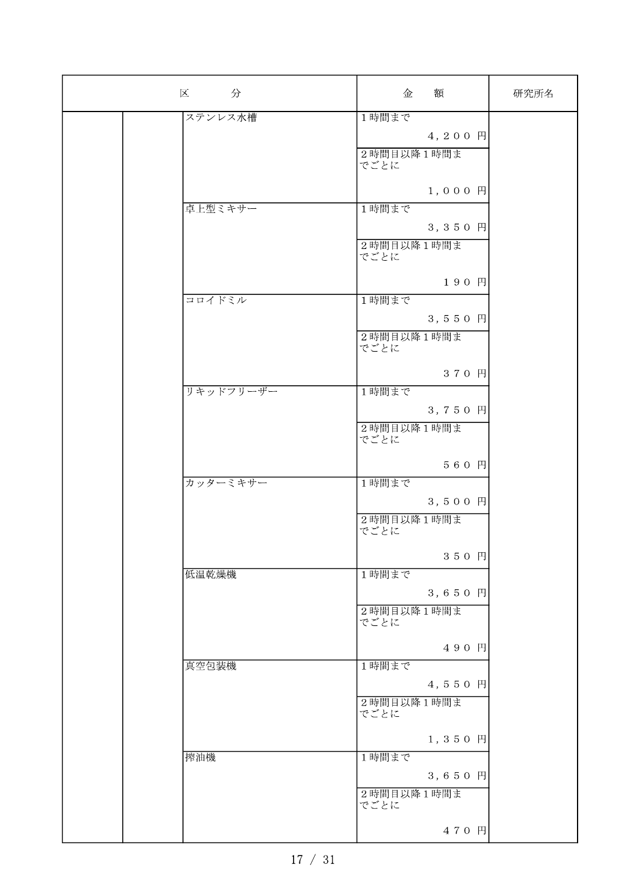| 分<br>区    | 金                  | 額                  | 研究所名 |
|-----------|--------------------|--------------------|------|
| ステンレス水槽   | 1時間まで              |                    |      |
|           |                    | 4,200 円            |      |
|           | 2時間目以降1時間ま         |                    |      |
|           | でごとに               |                    |      |
|           |                    |                    |      |
|           |                    | $1,000$ 円          |      |
| 卓上型ミキサー   | 1時間まで              |                    |      |
|           |                    | 3,350 円            |      |
|           | 2時間目以降1時間ま         |                    |      |
|           | でごとに               |                    |      |
|           |                    | 190円               |      |
| コロイドミル    | 1時間まで              |                    |      |
|           |                    |                    |      |
|           |                    | 3,550 円            |      |
|           | 2時間目以降1時間ま<br>でごとに |                    |      |
|           |                    |                    |      |
|           |                    | 370 円              |      |
| リキッドフリーザー | 1時間まで              |                    |      |
|           |                    | 3,750 円            |      |
|           | 2時間目以降1時間ま         |                    |      |
|           | でごとに               |                    |      |
|           |                    |                    |      |
|           |                    | 560 円              |      |
| カッターミキサー  | 1時間まで              |                    |      |
|           |                    | 3,500円             |      |
|           | 2時間目以降1時間ま         |                    |      |
|           | でごとに               |                    |      |
|           |                    | 350円               |      |
| 低温乾燥機     | 1時間まで              |                    |      |
|           |                    | 3,650 $\mathbb{H}$ |      |
|           |                    |                    |      |
|           | 2時間目以降1時間ま<br>でごとに |                    |      |
|           |                    |                    |      |
|           |                    | 490 円              |      |
| 真空包装機     | 1時間まで              |                    |      |
|           |                    | 4,550 円            |      |
|           | 2時間目以降1時間ま         |                    |      |
|           | でごとに               |                    |      |
|           |                    | 1,350 円            |      |
| 搾油機       | 1時間まで              |                    |      |
|           |                    |                    |      |
|           |                    | 3,650 円            |      |
|           | 2時間目以降1時間ま<br>でごとに |                    |      |
|           |                    |                    |      |
|           |                    | 470 円              |      |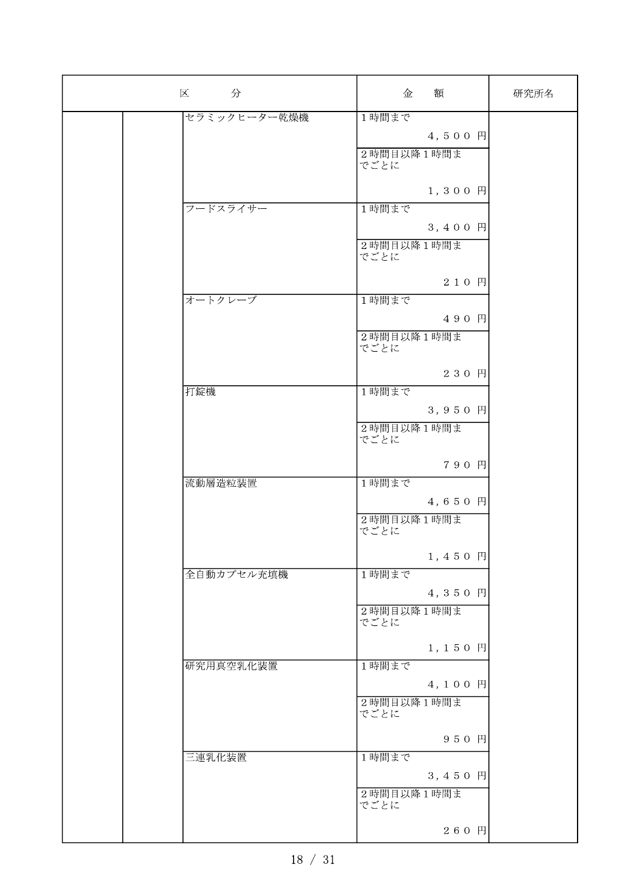| 分<br>区       | 金                  | 額          | 研究所名 |
|--------------|--------------------|------------|------|
| セラミックヒーター乾燥機 | 1時間まで              |            |      |
|              |                    | 4,500 円    |      |
|              | 2時間目以降1時間ま<br>でごとに |            |      |
|              |                    | 1,300円     |      |
| フードスライサー     | 1時間まで              |            |      |
|              |                    | 3,400 円    |      |
|              | 2時間目以降1時間ま<br>でごとに |            |      |
|              |                    | 210 円      |      |
| オートクレーブ      | 1時間まで              |            |      |
|              |                    | 490 円      |      |
|              | 2時間目以降1時間ま<br>でごとに |            |      |
|              |                    | 230 円      |      |
| 打錠機          | 1時間まで              |            |      |
|              |                    | 3,950 円    |      |
|              | 2時間目以降1時間ま<br>でごとに |            |      |
|              |                    | 790 円      |      |
| 流動層造粒装置      | 1時間まで              |            |      |
|              |                    | 4,650 円    |      |
|              | 2時間目以降1時間ま<br>でごとに |            |      |
|              |                    | 1,450 円    |      |
| 全自動カプセル充填機   | 1時間まで              |            |      |
|              |                    | 4,350 円    |      |
|              | 2時間目以降1時間ま<br>でごとに |            |      |
|              |                    | $1, 150$ 円 |      |
| 研究用真空乳化装置    | 1時間まで              |            |      |
|              |                    | 4,100 円    |      |
|              | 2時間目以降1時間ま<br>でごとに |            |      |
|              |                    | 950 円      |      |
| 三連乳化装置       | 1時間まで              |            |      |
|              |                    | 3,450 円    |      |
|              | 2時間目以降1時間ま<br>でごとに |            |      |
|              |                    | 260 円      |      |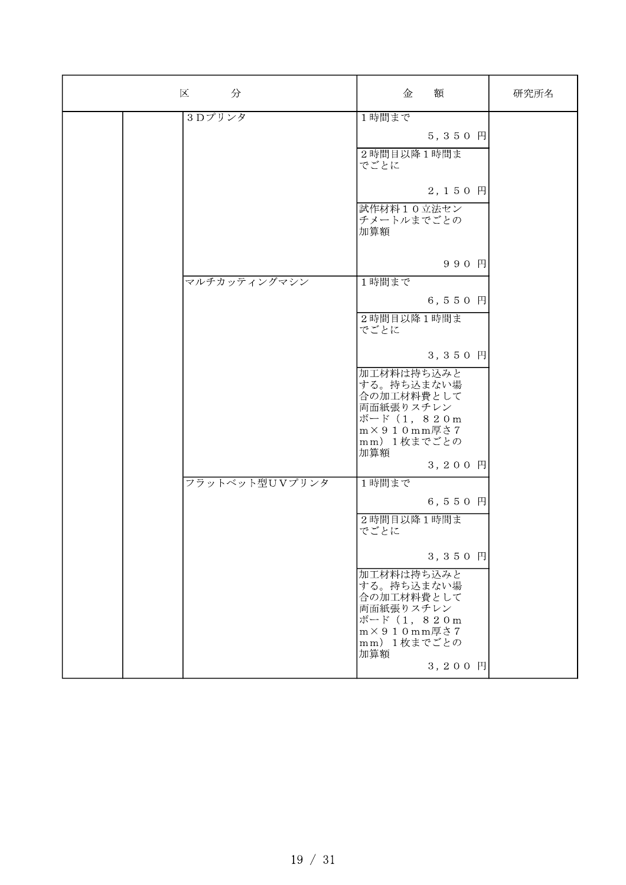| 分<br>区         | 額<br>金                                                                                                                         | 研究所名 |
|----------------|--------------------------------------------------------------------------------------------------------------------------------|------|
| 3Dプリンタ         | 1時間まで<br>$5, 350$ $\Box$<br>2時間目以降1時間ま<br>でごとに                                                                                 |      |
|                | 2,150 円<br>試作材料10立法セン<br>チメートルまでごとの<br>加算額                                                                                     |      |
| マルチカッティングマシン   | 990 円<br>1時間まで<br>$6, 550$ 円                                                                                                   |      |
|                | 2時間目以降1時間ま<br>でごとに<br>3, 350 $\mathbb{H}$                                                                                      |      |
|                | 加工材料は持ち込みと<br>する。持ち込まない場<br>合の加工材料費として<br>両面紙張りスチレン<br>ボード (1, 820m<br>$m \times 910$ mm厚さ7<br>mm) 1枚までごとの<br>加算額<br>3,200 円   |      |
| フラットベット型UVプリンタ | 1時間まで<br>6, 5 5 0 $\vert$<br>2時間目以降1時間ま<br>でごとに                                                                                |      |
|                | 3,350 円<br>加工材料は持ち込みと<br>する。持ち込まない場<br>合の加工材料費として<br>両面紙張りスチレン<br>ボード (1, 820m<br>$m \times 9$ 1 0 mm厚さ7<br>mm) 1枚までごとの<br>加算額 |      |
|                | 3,200 円                                                                                                                        |      |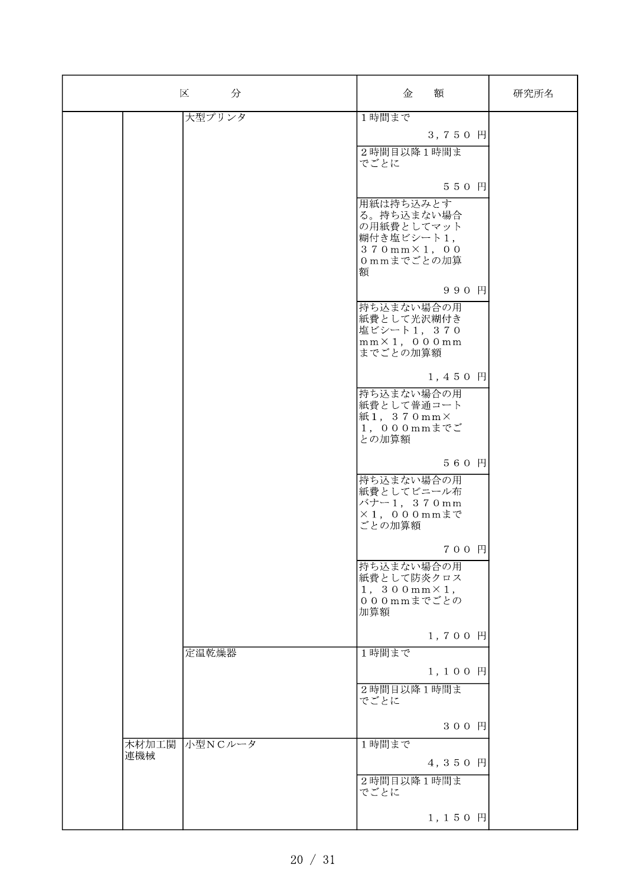| 区<br>分                  | 額<br>金                                                        |                 | 研究所名 |
|-------------------------|---------------------------------------------------------------|-----------------|------|
| 大型プリンタ                  | 1時間まで                                                         |                 |      |
|                         |                                                               | 3,750 円         |      |
|                         | 2時間目以降1時間ま<br>でごとに                                            |                 |      |
|                         |                                                               | 550円            |      |
|                         | 用紙は持ち込みとす<br>る。持ち込まない場合<br>の用紙費としてマット                         |                 |      |
|                         | 糊付き塩ビシート1,<br>$370$ mm $\times$ 1, 00                         |                 |      |
|                         | Ommまでごとの加算<br>額                                               |                 |      |
|                         | 持ち込まない場合の用                                                    | 990 円           |      |
|                         | 紙費として光沢糊付き<br>塩ビシート1,370<br>$mm \times 1$ , 000mm<br>までごとの加算額 |                 |      |
|                         |                                                               | 1,450 円         |      |
|                         | 持ち込まない場合の用<br>紙費として普通コート                                      |                 |      |
|                         | 紙1, 370mm×<br>1, 000mmまでご<br>との加算額                            |                 |      |
|                         |                                                               | 560 円           |      |
|                         | 持ち込まない場合の用<br>紙費としてビニール布                                      |                 |      |
|                         | バナー1, 370mm<br>$\times$ 1, 000mmまで<br>ごとの加算額                  |                 |      |
|                         |                                                               | 700 円           |      |
|                         | 持ち込まない場合の用<br>紙費として防炎クロス<br>$1, 300mm \times 1,$              |                 |      |
|                         | 000mmまでごとの<br>加算額                                             |                 |      |
|                         |                                                               | 1,700円          |      |
| 定温乾燥器                   | 1時間まで                                                         | 1,100 円         |      |
|                         | 2時間目以降1時間ま                                                    |                 |      |
|                         | でごとに                                                          | 300 円           |      |
|                         |                                                               |                 |      |
| 木材加工関<br>小型NCルータ<br>連機械 | 1時間まで                                                         | 4,350 円         |      |
|                         | 2時間目以降1時間ま<br>でごとに                                            |                 |      |
|                         |                                                               | $1, 150$ $\Box$ |      |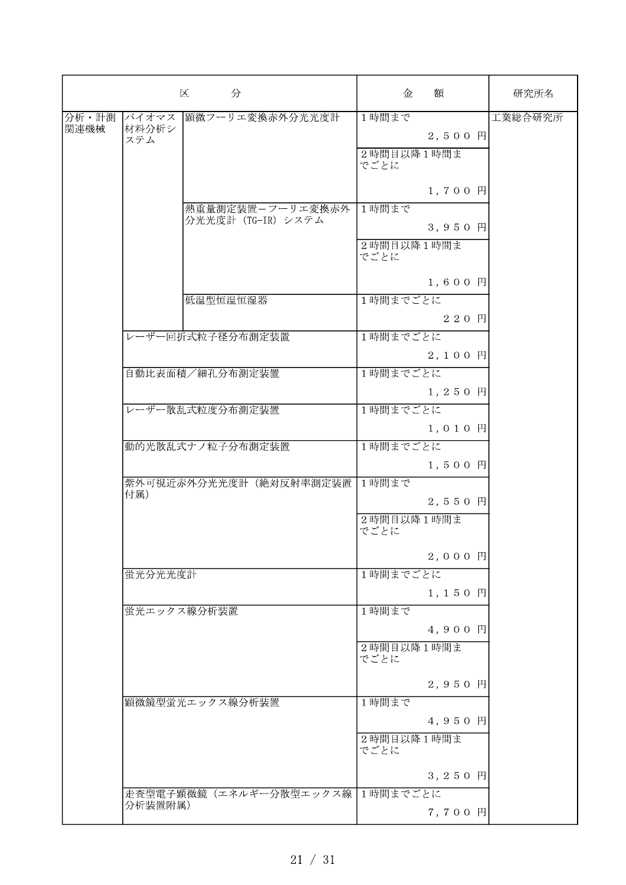|       |              | 区<br>分                          | 金                  | 額          | 研究所名    |
|-------|--------------|---------------------------------|--------------------|------------|---------|
| 分析・計測 | バイオマス        | 顕微フーリエ変換赤外分光光度計                 | 1時間まで              |            | 工業総合研究所 |
| 関連機械  | 材料分析シ<br>ステム |                                 |                    | 2,500 円    |         |
|       |              |                                 | 2時間目以降1時間ま         |            |         |
|       |              |                                 | でごとに               |            |         |
|       |              |                                 |                    | 1,700 円    |         |
|       |              | 熱重量測定装置ーフーリエ変換赤外                | 1時間まで              |            |         |
|       |              | 分光光度計 (TG-IR) システム              |                    |            |         |
|       |              |                                 |                    | 3,950 円    |         |
|       |              |                                 | 2時間目以降1時間ま<br>でごとに |            |         |
|       |              |                                 |                    |            |         |
|       |              |                                 |                    | $1, 600$ 円 |         |
|       |              | 低温型恒温恒湿器                        | 1時間までごとに           |            |         |
|       |              |                                 |                    | 220 円      |         |
|       |              | レーザー回折式粒子径分布測定装置                | 1時間までごとに           |            |         |
|       |              |                                 |                    | 2,100円     |         |
|       |              | 自動比表面積/細孔分布測定装置                 | 1時間までごとに           |            |         |
|       |              |                                 |                    | 1,250 円    |         |
|       |              | レーザー散乱式粒度分布測定装置                 | 1時間までごとに           |            |         |
|       |              |                                 |                    | 1,010円     |         |
|       |              | 動的光散乱式ナノ粒子分布測定装置                | 1時間までごとに           |            |         |
|       |              |                                 |                    | $1, 500$ 円 |         |
|       |              | 紫外可視近赤外分光光度計(絶対反射率測定装置 1時間まで    |                    |            |         |
|       | 付属)          |                                 |                    | 2,550 円    |         |
|       |              |                                 |                    |            |         |
|       |              |                                 | 2時間目以降1時間ま<br>でごとに |            |         |
|       |              |                                 |                    |            |         |
|       |              |                                 |                    | 2,000円     |         |
|       | 蛍光分光光度計      |                                 | 1時間までごとに           |            |         |
|       |              |                                 |                    | 1,150 円    |         |
|       |              | 蛍光エックス線分析装置                     | 1時間まで              |            |         |
|       |              |                                 |                    | 4,900 円    |         |
|       |              |                                 | 2時間目以降1時間ま         |            |         |
|       |              |                                 | でごとに               |            |         |
|       |              |                                 |                    | 2,950 円    |         |
|       |              | 顕微鏡型蛍光エックス線分析装置                 | 1時間まで              |            |         |
|       |              |                                 |                    | 4,950 円    |         |
|       |              |                                 | 2時間目以降1時間ま         |            |         |
|       |              |                                 | でごとに               |            |         |
|       |              |                                 |                    | 3,250 円    |         |
|       |              | 走査型電子顕微鏡(エネルギー分散型エックス線 1時間までごとに |                    |            |         |
|       | 分析装置附属)      |                                 |                    | 7,700 円    |         |
|       |              |                                 |                    |            |         |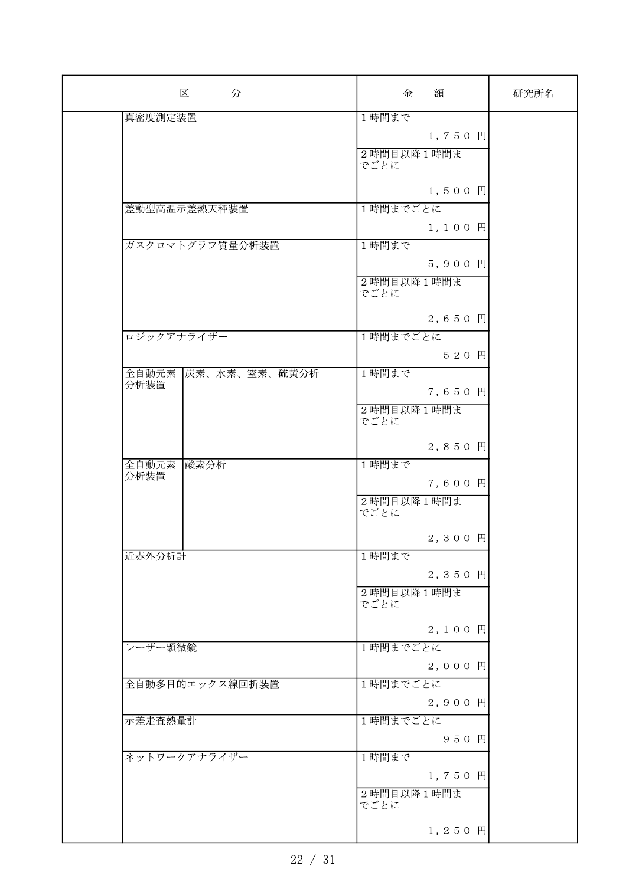| 区<br>分                 | 額<br>金             | 研究所名 |
|------------------------|--------------------|------|
| 真密度測定装置                | 1時間まで              |      |
|                        | 1,750 円            |      |
|                        | 2時間目以降1時間ま         |      |
|                        | でごとに               |      |
|                        |                    |      |
|                        | 1,500円             |      |
| 差動型高温示差熱天秤装置           | 1時間までごとに           |      |
|                        | $1, 100$ $\Box$    |      |
| ガスクロマトグラフ質量分析装置        | 1時間まで              |      |
|                        | 5,900 円            |      |
|                        | 2時間目以降1時間ま         |      |
|                        | でごとに               |      |
|                        |                    |      |
|                        | 2,650 円            |      |
| ロジックアナライザー             | 1時間までごとに           |      |
|                        | 520 円              |      |
| 炭素、水素、窒素、硫黄分析<br>全自動元素 | 1時間まで              |      |
| 分析装置                   | 7,650 円            |      |
|                        |                    |      |
|                        | 2時間目以降1時間ま<br>でごとに |      |
|                        |                    |      |
|                        | 2,850 円            |      |
| 全自動元素<br>酸素分析          | 1時間まで              |      |
| 分析装置                   | 7,600 円            |      |
|                        | 2時間目以降1時間ま         |      |
|                        | でごとに               |      |
|                        | 2,300 円            |      |
|                        |                    |      |
| 近赤外分析計                 | 1時間まで              |      |
|                        | 2,350 円            |      |
|                        | 2時間目以降1時間ま         |      |
|                        | でごとに               |      |
|                        | 2,100円             |      |
| レーザー顕微鏡                | 1時間までごとに           |      |
|                        | 2,000円             |      |
| 全自動多目的エックス線回折装置        | 1時間までごとに           |      |
|                        |                    |      |
|                        | 2,900 円            |      |
| 示差走查熱量計                | 1時間までごとに           |      |
|                        | 950 円              |      |
| ネットワークアナライザー           | 1時間まで              |      |
|                        | 1,750 円            |      |
|                        | 2時間目以降1時間ま         |      |
|                        | でごとに               |      |
|                        |                    |      |
|                        | 1,250 円            |      |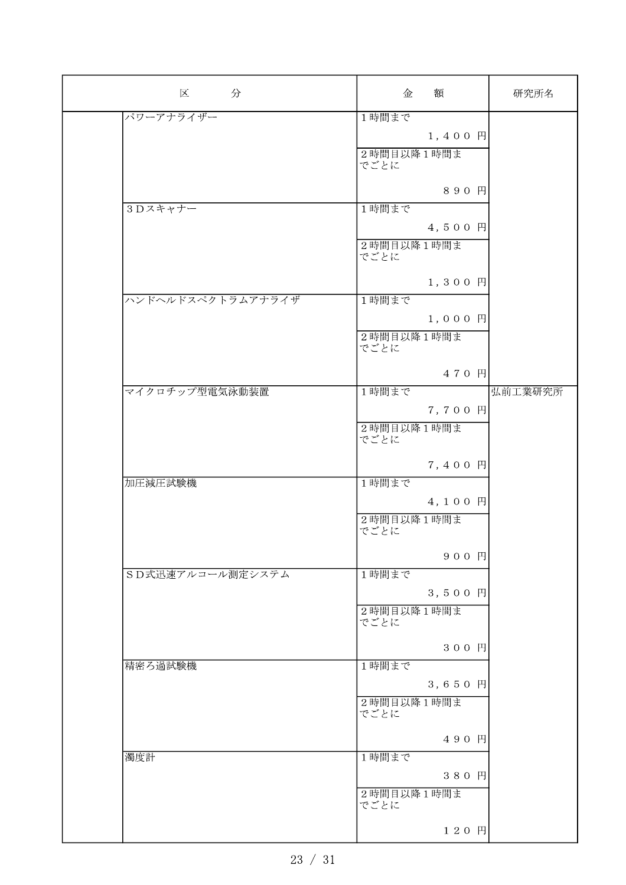| 区<br>分            | 額<br>金              | 研究所名    |
|-------------------|---------------------|---------|
| パワーアナライザー         | 1時間まで               |         |
|                   | $1, 400$ $\vert$    |         |
|                   | 2時間目以降1時間ま<br>でごとに  |         |
|                   | 890 円               |         |
| 3Dスキャナー           | 1時間まで               |         |
|                   | 4,500 円             |         |
|                   | 2時間目以降1時間ま<br>でごとに  |         |
|                   | 1,300 円             |         |
| ハンドヘルドスペクトラムアナライザ | 1時間まで               |         |
|                   | $1,000$ $\Box$      |         |
|                   | 2時間目以降1時間ま<br>でごとに  |         |
|                   | 470 円               |         |
| マイクロチップ型電気泳動装置    | 1時間まで               | 弘前工業研究所 |
|                   | 7,700 円             |         |
|                   | 2時間目以降1時間ま<br>でごとに  |         |
|                   | 7,400 円             |         |
| 加圧減圧試験機           | 1時間まで               |         |
|                   | 4,100 円             |         |
|                   | 2時間目以降1時間ま<br>でごとに  |         |
|                   | 900 円               |         |
| SD式迅速アルコール測定システム  | 1時間まで               |         |
|                   | 3,500 $\mathbb{H}$  |         |
|                   | 2時間目以降1時間ま<br>でごとに  |         |
|                   | 300 円               |         |
| 精密ろ過試験機           | 1時間まで               |         |
|                   | 3,650 円             |         |
|                   | 2時間目以降1時間ま<br>でごとに  |         |
|                   | 490 円               |         |
| 濁度計               | 1時間まで               |         |
|                   | 380 円<br>2時間目以降1時間ま |         |
|                   | でごとに                |         |
|                   | 120 円               |         |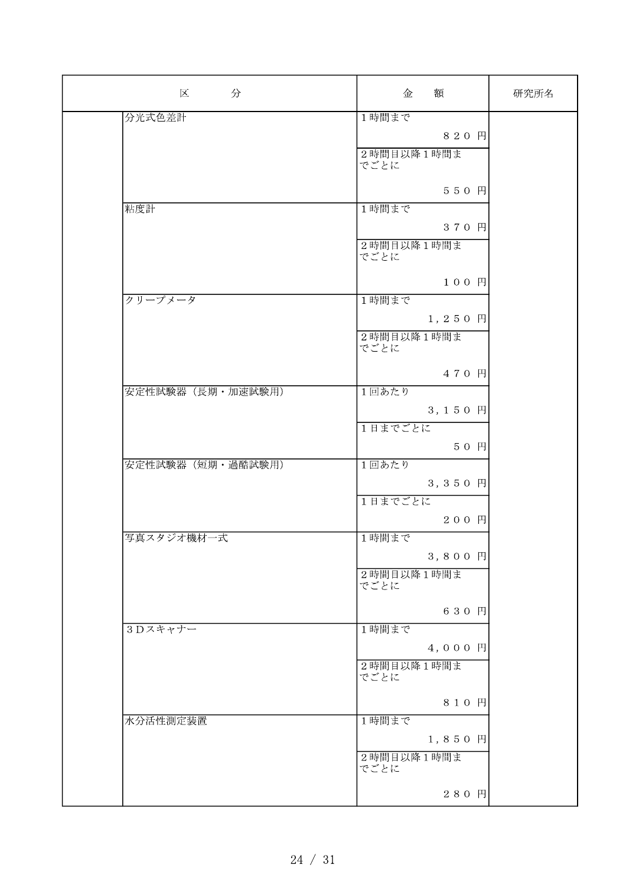| 分<br>区            | 額<br>金             | 研究所名 |
|-------------------|--------------------|------|
| 分光式色差計            | 1時間まで              |      |
|                   | 820 円              |      |
|                   | 2時間目以降1時間ま         |      |
|                   | でごとに               |      |
|                   | 550円               |      |
| 粘度計               | 1時間まで              |      |
|                   | 370 円              |      |
|                   | 2時間目以降1時間ま         |      |
|                   | でごとに               |      |
|                   |                    |      |
|                   | 100円               |      |
| クリープメータ           | 1時間まで              |      |
|                   | 1,250 円            |      |
|                   | 2時間目以降1時間ま<br>でごとに |      |
|                   |                    |      |
|                   | 470 円              |      |
| 安定性試験器 (長期·加速試験用) | 1回あたり              |      |
|                   | 3,150 円            |      |
|                   | 1日までごとに            |      |
|                   | 50 円               |      |
| 安定性試験器(短期·過酷試験用)  | 1回あたり              |      |
|                   | 3,350 円            |      |
|                   | 1日までごとに            |      |
|                   | 200円               |      |
| 写真スタジオ機材一式        | 1時間まで              |      |
|                   |                    |      |
|                   | 3,800円             |      |
|                   | 2時間目以降1時間ま<br>でごとに |      |
|                   |                    |      |
|                   | 630 円              |      |
| 3Dスキャナー           | 1時間まで              |      |
|                   | 4,000円             |      |
|                   | 2時間目以降1時間ま         |      |
|                   | でごとに               |      |
|                   | 810円               |      |
| 水分活性測定装置          | 1時間まで              |      |
|                   | 1,850 円            |      |
|                   | 2時間目以降1時間ま         |      |
|                   | でごとに               |      |
|                   | 280 円              |      |
|                   |                    |      |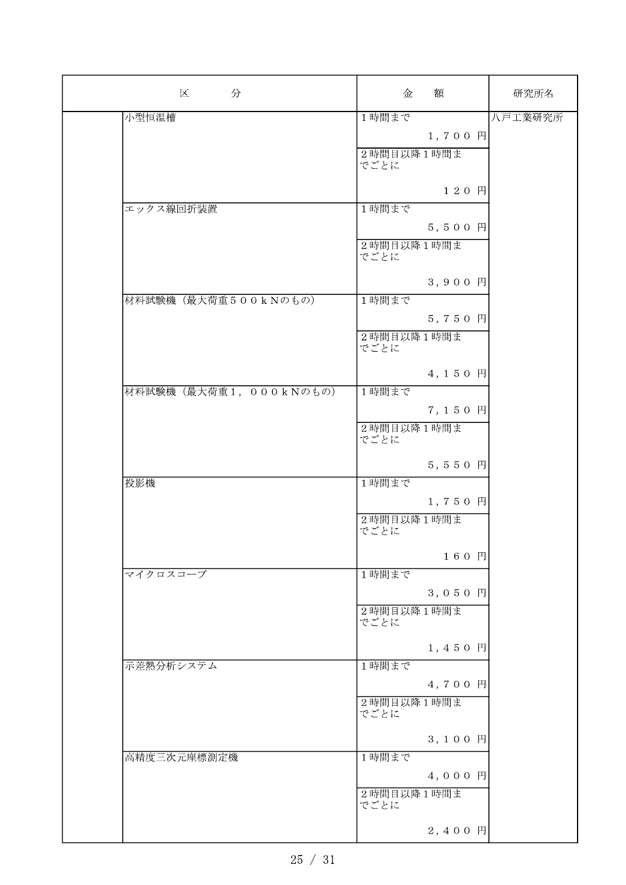| 区<br>分                  | 額<br>金             | 研究所名    |
|-------------------------|--------------------|---------|
| 小型恒温槽                   | 1時間まで              | 八戸工業研究所 |
|                         | $1, 700$ 円         |         |
|                         | 2時間目以降1時間ま<br>でごとに |         |
|                         | 120円               |         |
| エックス線回折装置               | 1時間まで              |         |
|                         | $5, 500$ 円         |         |
|                         | 2時間目以降1時間ま<br>でごとに |         |
|                         | 3,900 円            |         |
| 材料試験機(最大荷重500kNのもの)     | 1時間まで              |         |
|                         | 5,750 円            |         |
|                         | 2時間目以降1時間ま<br>でごとに |         |
|                         | 4,150 円            |         |
| 材料試験機 (最大荷重1, 000kNのもの) | 1時間まで              |         |
|                         | 7,150 円            |         |
|                         | 2時間目以降1時間ま<br>でごとに |         |
|                         | 5,550 円            |         |
| 投影機                     | 1時間まで              |         |
|                         | $1, 750$ $\Box$    |         |
|                         | 2時間目以降1時間ま<br>でごとに |         |
|                         | 160円               |         |
| マイクロスコープ                | 1時間まで              |         |
|                         | 3,050 $\mathbb{H}$ |         |
|                         | 2時間目以降1時間ま<br>でごとに |         |
|                         | 1,450 円            |         |
| 示差熱分析システム               | 1時間まで              |         |
|                         | 4,700 円            |         |
|                         | 2時間目以降1時間ま<br>でごとに |         |
|                         | 3,100 円            |         |
| 高精度三次元座標測定機             | 1時間まで              |         |
|                         | 4,000円             |         |
|                         | 2時間目以降1時間ま<br>でごとに |         |
|                         | $2, 400$ 円         |         |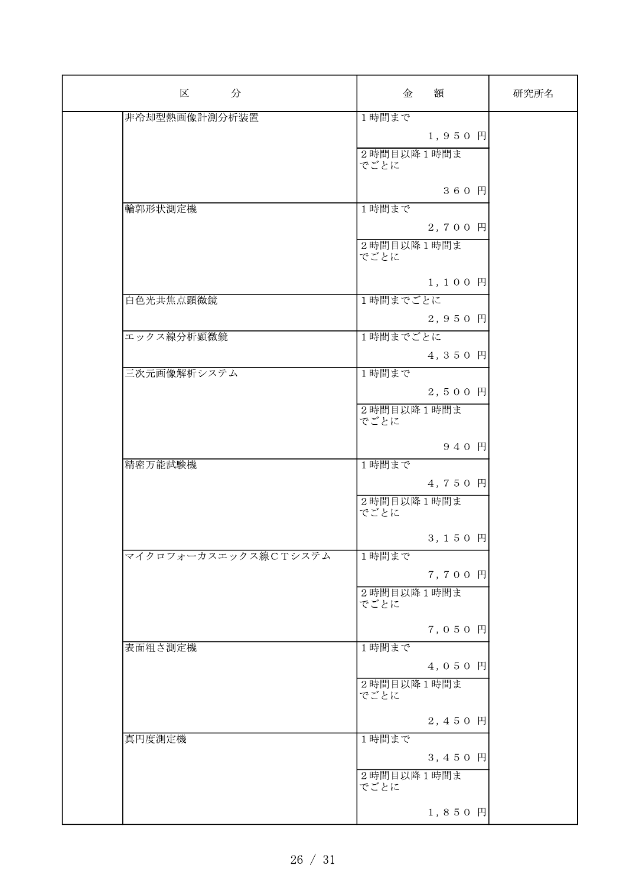| 区 分                  | 額<br>金             | 研究所名 |
|----------------------|--------------------|------|
| 非冷却型熱画像計測分析装置        | 1時間まで              |      |
|                      | 1,950 円            |      |
|                      | 2時間目以降1時間ま         |      |
|                      | でごとに               |      |
|                      |                    |      |
|                      | 360 円              |      |
| 輪郭形状測定機              | 1時間まで              |      |
|                      | 2,700 円            |      |
|                      | 2時間目以降1時間ま         |      |
|                      | でごとに               |      |
|                      | 1,100円             |      |
| 白色光共焦点顕微鏡            | 1時間までごとに           |      |
|                      | 2,950 円            |      |
|                      |                    |      |
| エックス線分析顕微鏡           | 1時間までごとに           |      |
|                      | 4,350 円            |      |
| 三次元画像解析システム          | 1時間まで              |      |
|                      | 2,500円             |      |
|                      | 2時間目以降1時間ま         |      |
|                      | でごとに               |      |
|                      | 940 円              |      |
| 精密万能試験機              | 1時間まで              |      |
|                      | 4,750 円            |      |
|                      |                    |      |
|                      | 2時間目以降1時間ま<br>でごとに |      |
|                      |                    |      |
|                      | 3,150 円            |      |
| マイクロフォーカスエックス線CTシステム | 1時間まで              |      |
|                      | 7,700 円            |      |
|                      | 2時間目以降1時間ま         |      |
|                      | でごとに               |      |
|                      | 7,050 円            |      |
| 表面粗さ測定機              | 1時間まで              |      |
|                      | 4,050 円            |      |
|                      | 2時間目以降1時間ま         |      |
|                      | でごとに               |      |
|                      |                    |      |
|                      | 2,450 円            |      |
| 真円度測定機               | 1時間まで              |      |
|                      | 3,450 円            |      |
|                      | 2時間目以降1時間ま         |      |
|                      | でごとに               |      |
|                      | 1,850円             |      |
|                      |                    |      |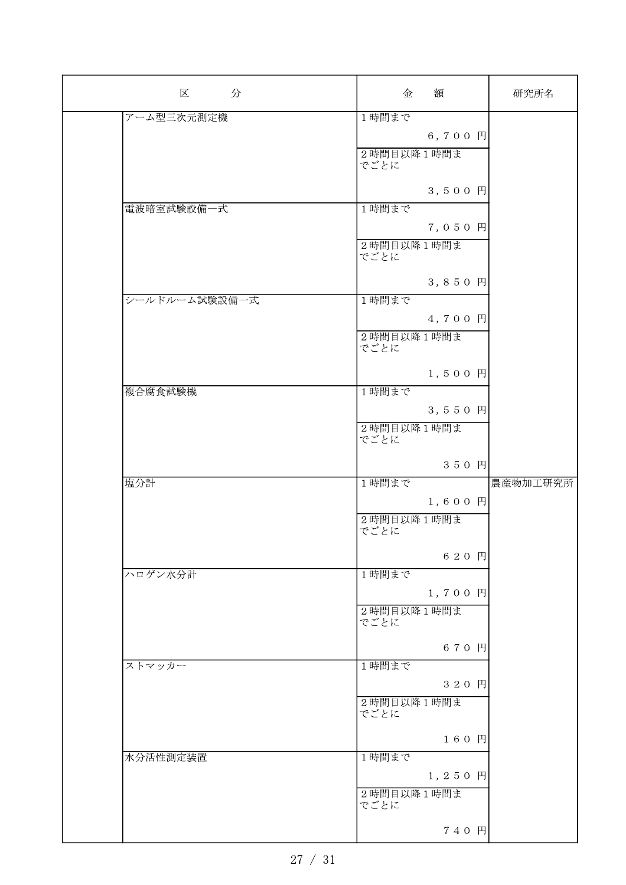| 区 分           | 額<br>金             | 研究所名     |
|---------------|--------------------|----------|
| アーム型三次元測定機    | 1時間まで              |          |
|               | 6,700 円            |          |
|               | 2時間目以降1時間ま         |          |
|               | でごとに               |          |
|               |                    |          |
|               | 3,500円             |          |
| 電波暗室試験設備一式    | 1時間まで              |          |
|               | 7,050 円            |          |
|               | 2時間目以降1時間ま         |          |
|               | でごとに               |          |
|               | 3,850 円            |          |
| シールドルーム試験設備一式 | 1時間まで              |          |
|               |                    |          |
|               | 4,700 円            |          |
|               | 2時間目以降1時間ま<br>でごとに |          |
|               |                    |          |
|               | 1,500円             |          |
| 複合腐食試験機       | 1時間まで              |          |
|               | 3,550 円            |          |
|               | 2時間目以降1時間ま         |          |
|               | でごとに               |          |
|               |                    |          |
|               | 350円               |          |
| 塩分計           | 1時間まで              | 農産物加工研究所 |
|               | 1,600 円            |          |
|               | 2時間目以降1時間ま         |          |
|               | でごとに               |          |
|               | 620 円              |          |
| ハロゲン水分計       | 1時間まで              |          |
|               | $1, 700$ $\vert$   |          |
|               | 2時間目以降1時間ま         |          |
|               | でごとに               |          |
|               |                    |          |
|               | 670 円              |          |
| ストマッカー        | 1時間まで              |          |
|               | 320 円              |          |
|               | 2時間目以降1時間ま         |          |
|               | でごとに               |          |
|               | 160 円              |          |
| 水分活性測定装置      | 1時間まで              |          |
|               | 1,250 円            |          |
|               | 2時間目以降1時間ま         |          |
|               | でごとに               |          |
|               |                    |          |
|               | 740 円              |          |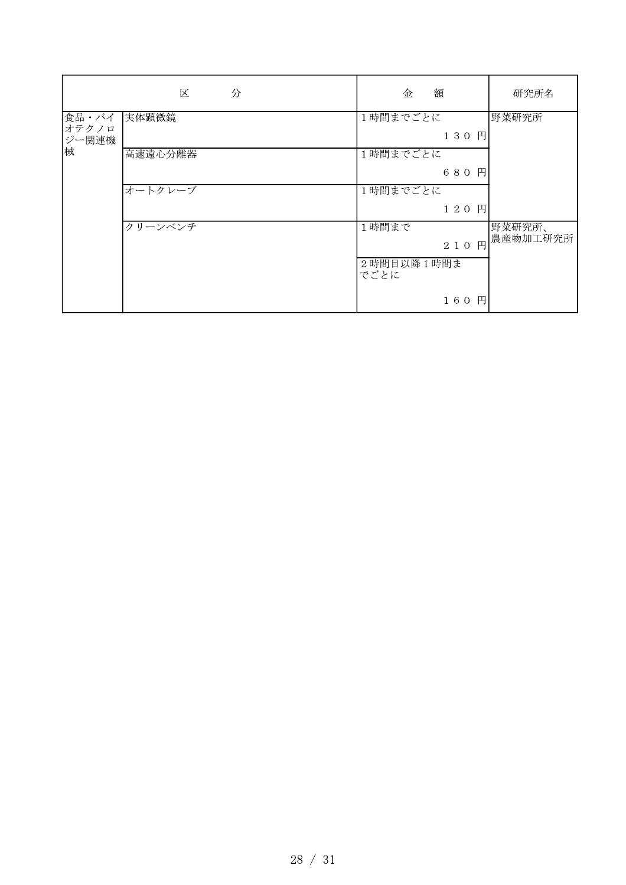|                              | 区<br>分  | 額<br>金             | 研究所名               |
|------------------------------|---------|--------------------|--------------------|
| 食品・バイ<br>オテクノロ<br>ジー関連機<br>械 | 実体顕微鏡   | 1時間までごとに<br>130 円  | 野菜研究所              |
|                              | 高速遠心分離器 | 1時間までごとに<br>680 円  |                    |
|                              | オートクレーブ | 1時間までごとに<br>120 円  |                    |
|                              | クリーンベンチ | 1時間まで<br>210 円     | 野菜研究所、<br>農産物加工研究所 |
|                              |         | 2時間目以降1時間ま<br>でごとに |                    |
|                              |         | 160<br>円           |                    |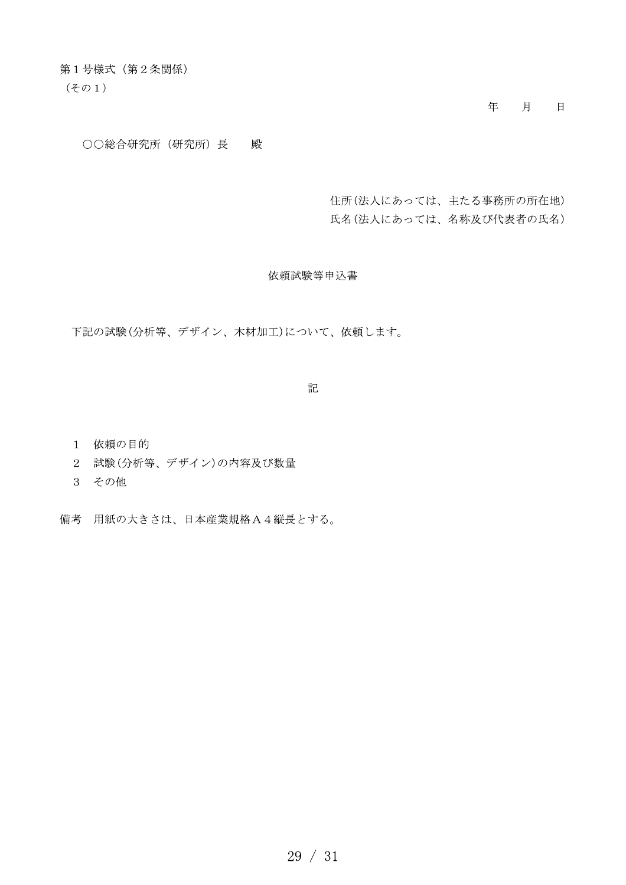第1号様式 (第2条関係)

 $(201)$ 

年 月 日

○○総合研究所 (研究所) 長 殿

住所(法人にあっては、主たる事務所の所在地) 氏名(法人にあっては、名称及び代表者の氏名)

依頼試験等申込書

下記の試験(分析等、デザイン、木材加工)について、依頼します。

記

- 1 依頼の目的
- 2 試験(分析等、デザイン)の内容及び数量
- 3 その他
- 備考 用紙の大きさは、日本産業規格A4縦長とする。

 $29 / 31$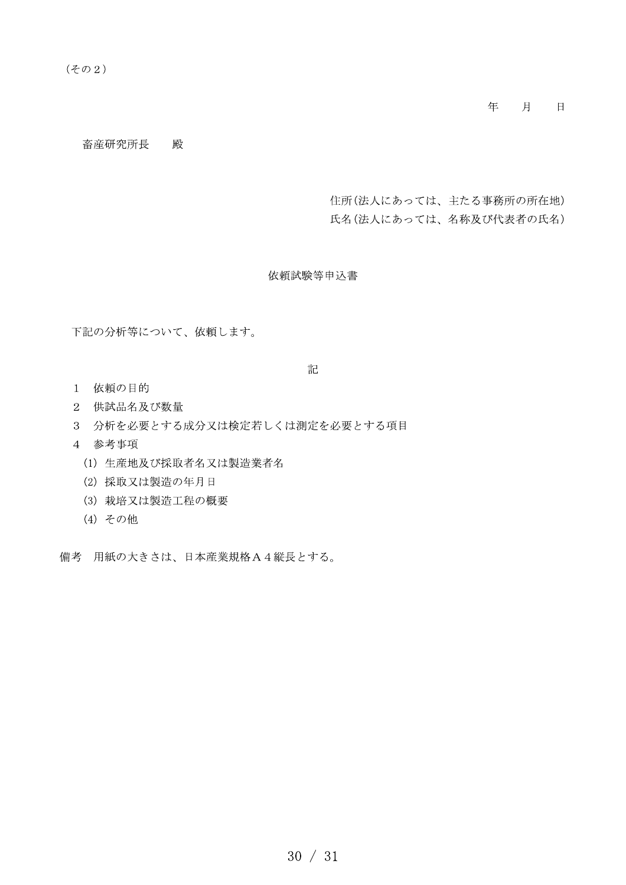年 月 日

畜産研究所長 殿

住所(法人にあっては、主たる事務所の所在地) 氏名(法人にあっては、名称及び代表者の氏名)

依頼試験等申込書

下記の分析等について、依頼します。

記

- 1 依頼の目的
- 2 供試品名及び数量
- 3 分析を必要とする成分又は検定若しくは測定を必要とする項目
- 4 参考事項
	- (1) 生産地及び採取者名又は製造業者名
	- (2) 採取又は製造の年月日
	- (3) 栽培又は製造工程の概要
	- (4) その他

備考 用紙の大きさは、日本産業規格A4縦長とする。

 $30 / 31$